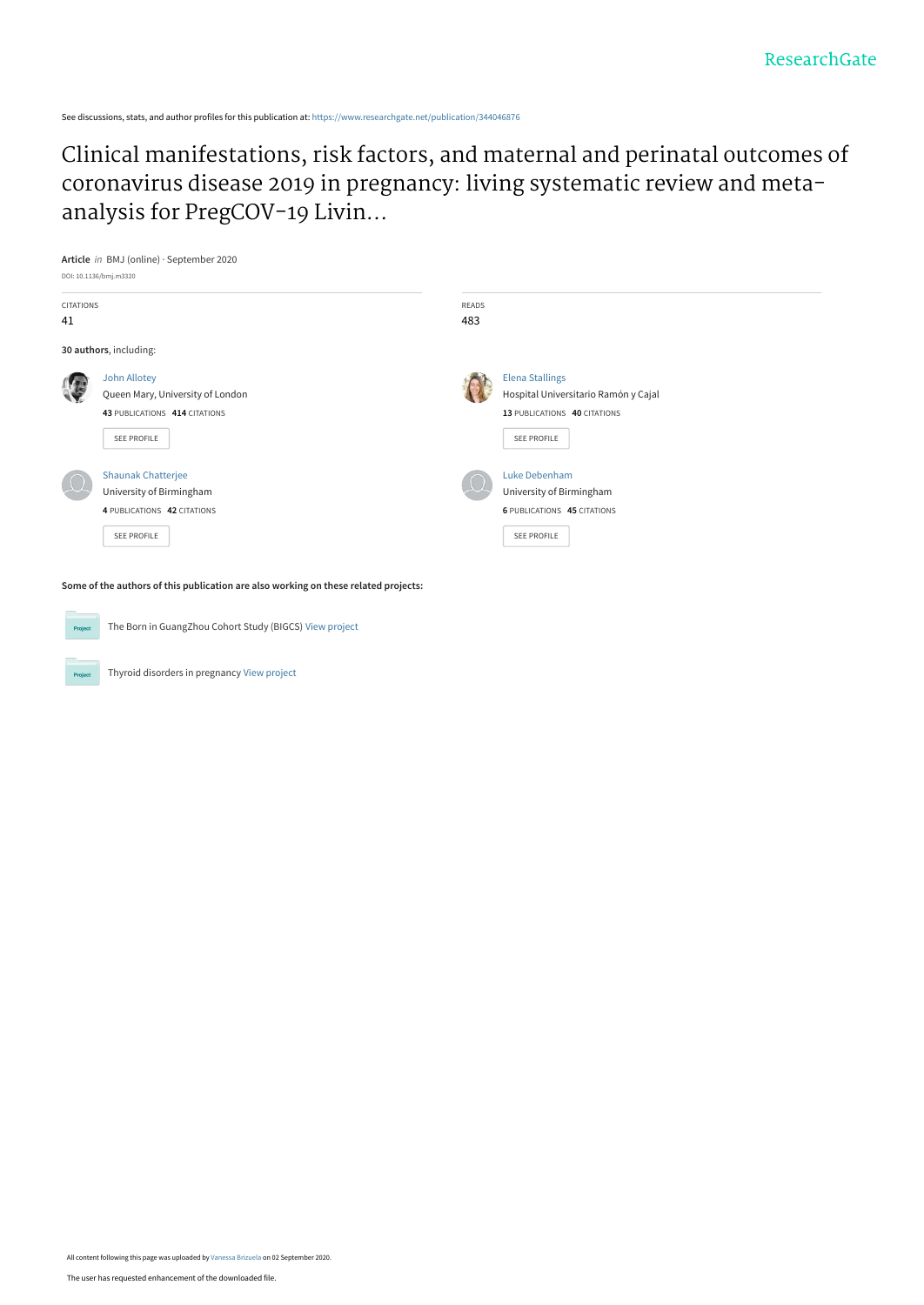See discussions, stats, and author profiles for this publication at: [https://www.researchgate.net/publication/344046876](https://www.researchgate.net/publication/344046876_Clinical_manifestations_risk_factors_and_maternal_and_perinatal_outcomes_of_coronavirus_disease_2019_in_pregnancy_living_systematic_review_and_meta-analysis_for_PregCOV-19_Living_Systematic_Review_Con?enrichId=rgreq-dbe2c742ffd8ef7747af718590a408b5-XXX&enrichSource=Y292ZXJQYWdlOzM0NDA0Njg3NjtBUzo5MzEzNjI4OTQ3OTQ3NTVAMTU5OTA2NTYyNjc0NQ%3D%3D&el=1_x_2&_esc=publicationCoverPdf)

[Clinical manifestations, risk factors, and maternal and perinatal outcomes of](https://www.researchgate.net/publication/344046876_Clinical_manifestations_risk_factors_and_maternal_and_perinatal_outcomes_of_coronavirus_disease_2019_in_pregnancy_living_systematic_review_and_meta-analysis_for_PregCOV-19_Living_Systematic_Review_Con?enrichId=rgreq-dbe2c742ffd8ef7747af718590a408b5-XXX&enrichSource=Y292ZXJQYWdlOzM0NDA0Njg3NjtBUzo5MzEzNjI4OTQ3OTQ3NTVAMTU5OTA2NTYyNjc0NQ%3D%3D&el=1_x_3&_esc=publicationCoverPdf) coronavirus disease 2019 in pregnancy: living systematic review and metaanalysis for PregCOV-19 Livin...



**Some of the authors of this publication are also working on these related projects:**

The Born in GuangZhou Cohort Study (BIGCS) [View project](https://www.researchgate.net/project/The-Born-in-GuangZhou-Cohort-Study-BIGCS?enrichId=rgreq-dbe2c742ffd8ef7747af718590a408b5-XXX&enrichSource=Y292ZXJQYWdlOzM0NDA0Njg3NjtBUzo5MzEzNjI4OTQ3OTQ3NTVAMTU5OTA2NTYyNjc0NQ%3D%3D&el=1_x_9&_esc=publicationCoverPdf) Project

Thyroid disorders in pregnancy [View project](https://www.researchgate.net/project/Thyroid-disorders-in-pregnancy?enrichId=rgreq-dbe2c742ffd8ef7747af718590a408b5-XXX&enrichSource=Y292ZXJQYWdlOzM0NDA0Njg3NjtBUzo5MzEzNjI4OTQ3OTQ3NTVAMTU5OTA2NTYyNjc0NQ%3D%3D&el=1_x_9&_esc=publicationCoverPdf)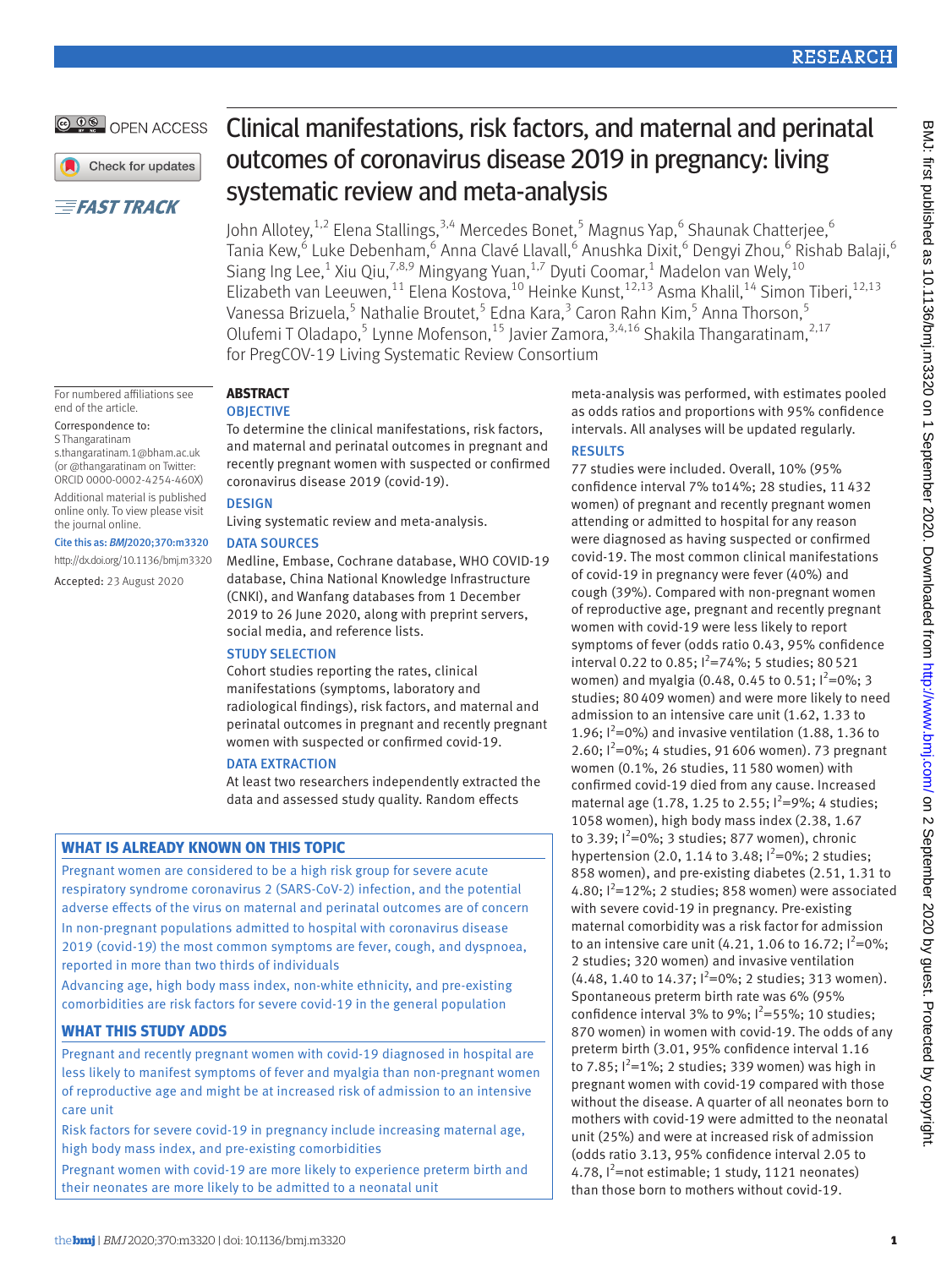# **RESEARCH**

# OPEN ACCESS

Check for updates

# **EFAST TRACK**

For numbered affiliations see end of the article.

Correspondence to:

S Thangaratinam s.[thangaratinam.1@bham.ac.uk](mailto:thangaratinam.1@bham.ac.uk)

(or [@thangaratinam](https://twitter.com/thangaratinam?lang=en) on Twitter: ORCID [0000-0002-4254-460X](http://orcid.org/0000-0002-4254-460X))

Additional material is published online only. To view please visit the journal online.

# Cite this as: *BMJ*2020;370:m3320

http://dx.doi.org/10.1136/bmj.m3320

Accepted: 23 August 2020

# Clinical manifestations, risk factors, and maternal and perinatal outcomes of coronavirus disease 2019 in pregnancy: living systematic review and meta-analysis

John Allotey,<sup>1,2</sup> Elena Stallings,<sup>3,4</sup> Mercedes Bonet,<sup>5</sup> Magnus Yap,<sup>6</sup> Shaunak Chatterjee,<sup>6</sup> Tania Kew,<sup>6</sup> Luke Debenham,<sup>6</sup> Anna Clavé Llavall,<sup>6</sup> Anushka Dixit,<sup>6</sup> Dengyi Zhou,<sup>6</sup> Rishab Balaji,<sup>6</sup> Siang Ing Lee,<sup>1</sup> Xiu Qiu,<sup>7,8,9</sup> Mingyang Yuan,<sup>1,7</sup> Dyuti Coomar,<sup>1</sup> Madelon van Wely,<sup>10</sup> Elizabeth van Leeuwen,<sup>11</sup> Elena Kostova,<sup>10</sup> Heinke Kunst,<sup>12,13</sup> Asma Khalil,<sup>14</sup> Simon Tiberi,<sup>12,13</sup> Vanessa Brizuela,<sup>5</sup> Nathalie Broutet,<sup>5</sup> Edna Kara,<sup>3</sup> Caron Rahn Kim,<sup>5</sup> Anna Thorson,<sup>5</sup> Olufemi T Oladapo,<sup>5</sup> Lynne Mofenson,<sup>15</sup> Javier Zamora,<sup>3,4,16</sup> Shakila Thangaratinam,<sup>2,17</sup> for PregCOV-19 Living Systematic Review Consortium

#### **Abstract OBJECTIVE**

To determine the clinical manifestations, risk factors, and maternal and perinatal outcomes in pregnant and recently pregnant women with suspected or confirmed coronavirus disease 2019 (covid-19).

# **DESIGN**

Living systematic review and meta-analysis.

#### DATA SOURCES

Medline, Embase, Cochrane database, WHO COVID-19 database, China National Knowledge Infrastructure (CNKI), and Wanfang databases from 1 December 2019 to 26 June 2020, along with preprint servers, social media, and reference lists.

# STUDY SELECTION

Cohort studies reporting the rates, clinical manifestations (symptoms, laboratory and radiological findings), risk factors, and maternal and perinatal outcomes in pregnant and recently pregnant women with suspected or confirmed covid-19.

# DATA EXTRACTION

At least two researchers independently extracted the data and assessed study quality. Random effects

# **What is already known on this topic**

Pregnant women are considered to be a high risk group for severe acute respiratory syndrome coronavirus 2 (SARS-CoV-2) infection, and the potential adverse effects of the virus on maternal and perinatal outcomes are of concern In non-pregnant populations admitted to hospital with coronavirus disease 2019 (covid-19) the most common symptoms are fever, cough, and dyspnoea, reported in more than two thirds of individuals

Advancing age, high body mass index, non-white ethnicity, and pre-existing comorbidities are risk factors for severe covid-19 in the general population

# **What this study adds**

Pregnant and recently pregnant women with covid-19 diagnosed in hospital are less likely to manifest symptoms of fever and myalgia than non-pregnant women of reproductive age and might be at increased risk of admission to an intensive care unit

Risk factors for severe covid-19 in pregnancy include increasing maternal age, high body mass index, and pre-existing comorbidities

Pregnant women with covid-19 are more likely to experience preterm birth and their neonates are more likely to be admitted to a neonatal unit

meta-analysis was performed, with estimates pooled as odds ratios and proportions with 95% confidence intervals. All analyses will be updated regularly.

# **RESULTS**

77 studies were included. Overall, 10% (95% confidence interval 7% to14%; 28 studies, 11432 women) of pregnant and recently pregnant women attending or admitted to hospital for any reason were diagnosed as having suspected or confirmed covid-19. The most common clinical manifestations of covid-19 in pregnancy were fever (40%) and cough (39%). Compared with non-pregnant women of reproductive age, pregnant and recently pregnant women with covid-19 were less likely to report symptoms of fever (odds ratio 0.43, 95% confidence interval 0.22 to 0.85;  $1^2$ =74%; 5 studies; 80 521 women) and myalgia (0.48, 0.45 to 0.51;  $I^2=0\%$ ; 3 studies; 80409 women) and were more likely to need admission to an intensive care unit (1.62, 1.33 to 1.96;  $I^2$ =0%) and invasive ventilation (1.88, 1.36 to 2.60;  $I^2 = 0\%$ ; 4 studies, 91 606 women). 73 pregnant women (0.1%, 26 studies, 11580 women) with confirmed covid-19 died from any cause. Increased maternal age (1.78, 1.25 to 2.55;  $1^2 = 9\%$ ; 4 studies; 1058 women), high body mass index (2.38, 1.67 to 3.39;  $1^2$ =0%; 3 studies; 877 women), chronic hypertension (2.0, 1.14 to 3.48;  $1^2 = 0\%$ ; 2 studies; 858 women), and pre-existing diabetes (2.51, 1.31 to 4.80;  $I^2$ =12%; 2 studies; 858 women) were associated with severe covid-19 in pregnancy. Pre-existing maternal comorbidity was a risk factor for admission to an intensive care unit (4.21, 1.06 to 16.72;  $1^2 = 0\%$ ; 2 studies; 320 women) and invasive ventilation  $(4.48, 1.40 \text{ to } 14.37; |^{2} = 0\%; 2 \text{ studies}; 313 \text{ women}).$ Spontaneous preterm birth rate was 6% (95% confidence interval 3% to 9%;  $I^2 = 55\%$ ; 10 studies; 870 women) in women with covid-19. The odds of any preterm birth (3.01, 95% confidence interval 1.16 to 7.85;  $1^2$ =1%; 2 studies; 339 women) was high in pregnant women with covid-19 compared with those without the disease. A quarter of all neonates born to mothers with covid-19 were admitted to the neonatal unit (25%) and were at increased risk of admission (odds ratio 3.13, 95% confidence interval 2.05 to 4.78,  $I^2$ =not estimable; 1 study, 1121 neonates) than those born to mothers without covid-19.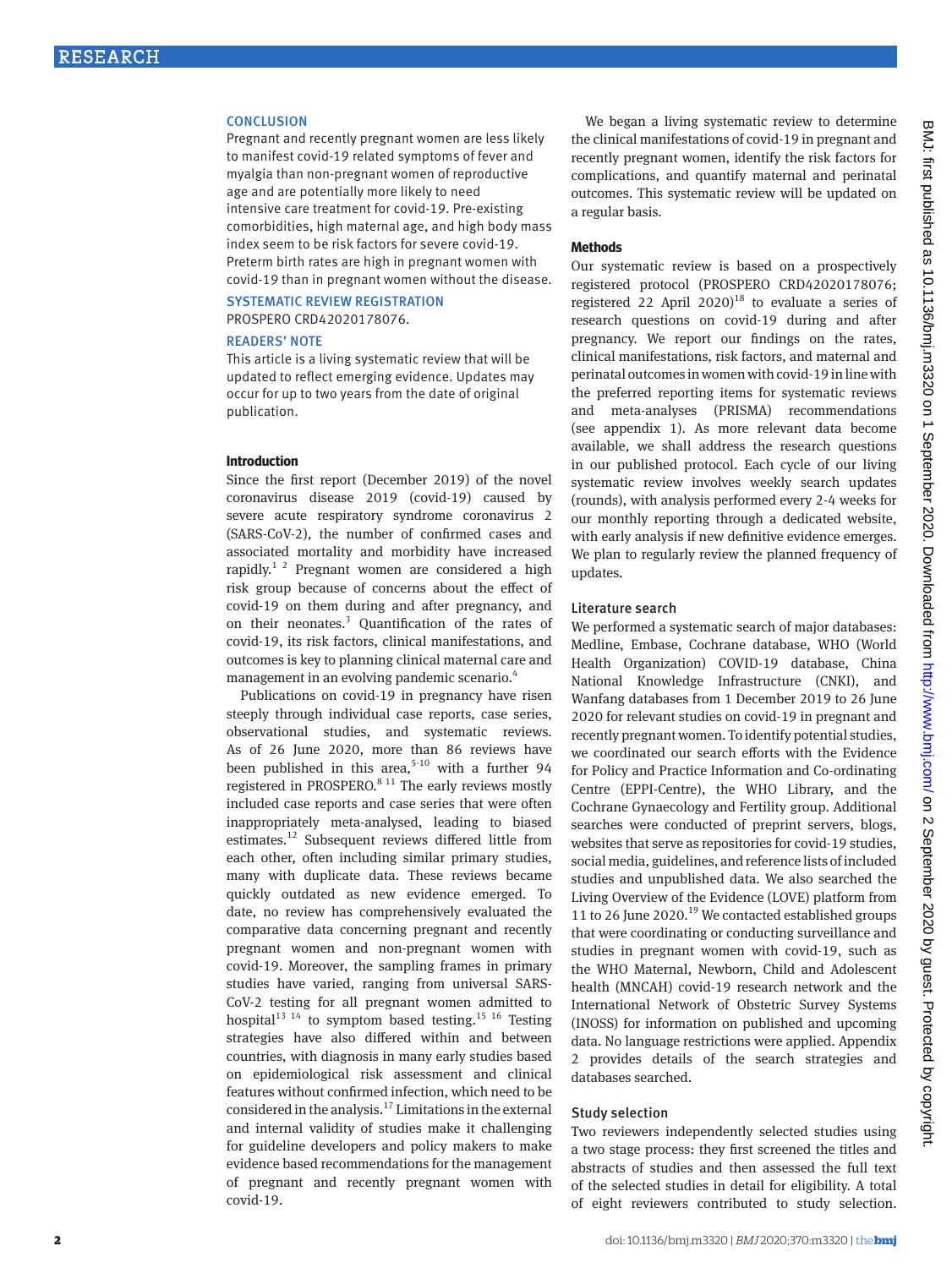#### **CONCLUSION**

Pregnant and recently pregnant women are less likely to manifest covid-19 related symptoms of fever and myalgia than non-pregnant women of reproductive age and are potentially more likely to need intensive care treatment for covid-19. Pre-existing comorbidities, high maternal age, and high body mass index seem to be risk factors for severe covid-19. Preterm birth rates are high in pregnant women with covid-19 than in pregnant women without the disease.

## Systematic review registration

PROSPERO CRD42020178076.

#### Readers' note

This article is a living systematic review that will be updated to reflect emerging evidence. Updates may occur for up to two years from the date of original publication.

## **Introduction**

Since the first report (December 2019) of the novel coronavirus disease 2019 (covid-19) caused by severe acute respiratory syndrome coronavirus 2 (SARS-CoV-2), the number of confirmed cases and associated mortality and morbidity have increased rapidly.<sup>1 2</sup> Pregnant women are considered a high risk group because of concerns about the effect of covid-19 on them during and after pregnancy, and on their neonates.<sup>3</sup> Quantification of the rates of covid-19, its risk factors, clinical manifestations, and outcomes is key to planning clinical maternal care and management in an evolving pandemic scenario.<sup>4</sup>

Publications on covid-19 in pregnancy have risen steeply through individual case reports, case series, observational studies, and systematic reviews. As of 26 June 2020, more than 86 reviews have been published in this area,<sup>5-10</sup> with a further 94 registered in PROSPERO.<sup>8 11</sup> The early reviews mostly included case reports and case series that were often inappropriately meta-analysed, leading to biased estimates.12 Subsequent reviews differed little from each other, often including similar primary studies, many with duplicate data. These reviews became quickly outdated as new evidence emerged. To date, no review has comprehensively evaluated the comparative data concerning pregnant and recently pregnant women and non-pregnant women with covid-19. Moreover, the sampling frames in primary studies have varied, ranging from universal SARS-CoV-2 testing for all pregnant women admitted to hospital<sup>13 14</sup> to symptom based testing.<sup>15 16</sup> Testing strategies have also differed within and between countries, with diagnosis in many early studies based on epidemiological risk assessment and clinical features without confirmed infection, which need to be considered in the analysis.<sup>17</sup> Limitations in the external and internal validity of studies make it challenging for guideline developers and policy makers to make evidence based recommendations for the management of pregnant and recently pregnant women with covid-19.

We began a living systematic review to determine the clinical manifestations of covid-19 in pregnant and recently pregnant women, identify the risk factors for complications, and quantify maternal and perinatal outcomes. This systematic review will be updated on a regular basis.

#### **Methods**

Our systematic review is based on a prospectively registered protocol (PROSPERO CRD42020178076; registered 22 April 2020)<sup>18</sup> to evaluate a series of research questions on covid-19 during and after pregnancy. We report our findings on the rates, clinical manifestations, risk factors, and maternal and perinatal outcomes in women with covid-19 in line with the preferred reporting items for systematic reviews and meta-analyses (PRISMA) recommendations (see appendix 1). As more relevant data become available, we shall address the research questions in our published protocol. Each cycle of our living systematic review involves weekly search updates (rounds), with analysis performed every 2-4 weeks for our monthly reporting through a dedicated website, with early analysis if new definitive evidence emerges. We plan to regularly review the planned frequency of updates.

#### Literature search

We performed a systematic search of major databases: Medline, Embase, Cochrane database, WHO (World Health Organization) COVID-19 database, China National Knowledge Infrastructure (CNKI), and Wanfang databases from 1 December 2019 to 26 June 2020 for relevant studies on covid-19 in pregnant and recently pregnant women. To identify potential studies, we coordinated our search efforts with the Evidence for Policy and Practice Information and Co-ordinating Centre (EPPI-Centre), the WHO Library, and the Cochrane Gynaecology and Fertility group. Additional searches were conducted of preprint servers, blogs, websites that serve as repositories for covid-19 studies, social media, guidelines, and reference lists of included studies and unpublished data. We also searched the Living Overview of the Evidence (LOVE) platform from 11 to 26 June 2020.<sup>19</sup> We contacted established groups that were coordinating or conducting surveillance and studies in pregnant women with covid-19, such as the WHO Maternal, Newborn, Child and Adolescent health (MNCAH) covid-19 research network and the International Network of Obstetric Survey Systems (INOSS) for information on published and upcoming data. No language restrictions were applied. Appendix 2 provides details of the search strategies and databases searched.

#### Study selection

Two reviewers independently selected studies using a two stage process: they first screened the titles and abstracts of studies and then assessed the full text of the selected studies in detail for eligibility. A total of eight reviewers contributed to study selection.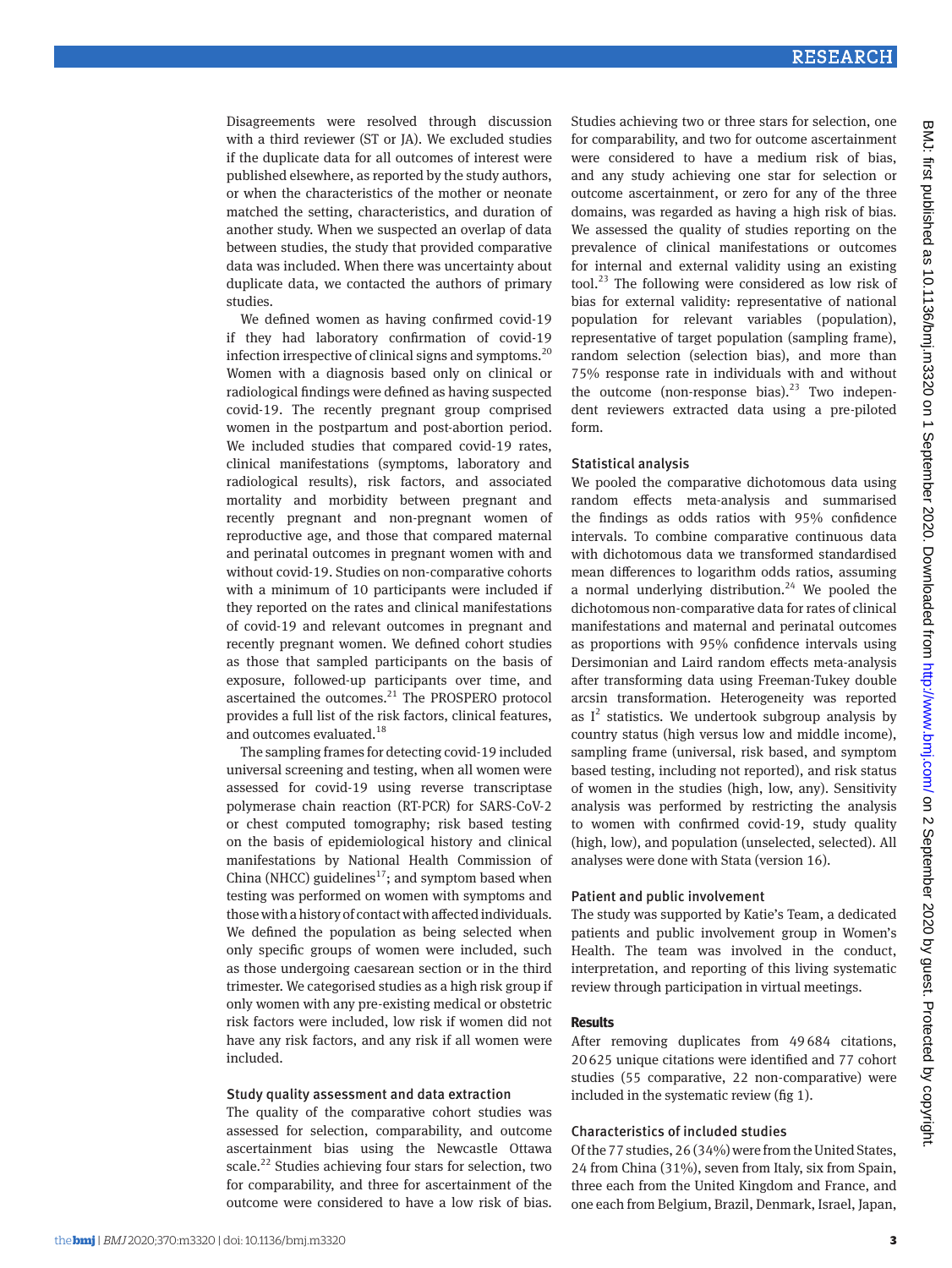Disagreements were resolved through discussion with a third reviewer (ST or JA). We excluded studies if the duplicate data for all outcomes of interest were published elsewhere, as reported by the study authors, or when the characteristics of the mother or neonate matched the setting, characteristics, and duration of another study. When we suspected an overlap of data between studies, the study that provided comparative data was included. When there was uncertainty about duplicate data, we contacted the authors of primary studies.

We defined women as having confirmed covid-19 if they had laboratory confirmation of covid-19 infection irrespective of clinical signs and symptoms.<sup>20</sup> Women with a diagnosis based only on clinical or radiological findings were defined as having suspected covid-19. The recently pregnant group comprised women in the postpartum and post-abortion period. We included studies that compared covid-19 rates, clinical manifestations (symptoms, laboratory and radiological results), risk factors, and associated mortality and morbidity between pregnant and recently pregnant and non-pregnant women of reproductive age, and those that compared maternal and perinatal outcomes in pregnant women with and without covid-19. Studies on non-comparative cohorts with a minimum of 10 participants were included if they reported on the rates and clinical manifestations of covid-19 and relevant outcomes in pregnant and recently pregnant women. We defined cohort studies as those that sampled participants on the basis of exposure, followed-up participants over time, and ascertained the outcomes.<sup>21</sup> The PROSPERO protocol provides a full list of the risk factors, clinical features, and outcomes evaluated.<sup>18</sup>

The sampling frames for detecting covid-19 included universal screening and testing, when all women were assessed for covid-19 using reverse transcriptase polymerase chain reaction (RT-PCR) for SARS-CoV-2 or chest computed tomography; risk based testing on the basis of epidemiological history and clinical manifestations by National Health Commission of China (NHCC) guidelines<sup>17</sup>; and symptom based when testing was performed on women with symptoms and those with a history of contact with affected individuals. We defined the population as being selected when only specific groups of women were included, such as those undergoing caesarean section or in the third trimester. We categorised studies as a high risk group if only women with any pre-existing medical or obstetric risk factors were included, low risk if women did not have any risk factors, and any risk if all women were included.

#### Study quality assessment and data extraction

The quality of the comparative cohort studies was assessed for selection, comparability, and outcome ascertainment bias using the Newcastle Ottawa scale.<sup>22</sup> Studies achieving four stars for selection, two for comparability, and three for ascertainment of the outcome were considered to have a low risk of bias.

Studies achieving two or three stars for selection, one for comparability, and two for outcome ascertainment were considered to have a medium risk of bias, and any study achieving one star for selection or outcome ascertainment, or zero for any of the three domains, was regarded as having a high risk of bias. We assessed the quality of studies reporting on the prevalence of clinical manifestations or outcomes for internal and external validity using an existing tool.<sup>23</sup> The following were considered as low risk of bias for external validity: representative of national population for relevant variables (population), representative of target population (sampling frame), random selection (selection bias), and more than 75% response rate in individuals with and without the outcome (non-response bias). $23$  Two independent reviewers extracted data using a pre-piloted form.

#### Statistical analysis

We pooled the comparative dichotomous data using random effects meta-analysis and summarised the findings as odds ratios with 95% confidence intervals. To combine comparative continuous data with dichotomous data we transformed standardised mean differences to logarithm odds ratios, assuming a normal underlying distribution.<sup>24</sup> We pooled the dichotomous non-comparative data for rates of clinical manifestations and maternal and perinatal outcomes as proportions with 95% confidence intervals using Dersimonian and Laird random effects meta-analysis after transforming data using Freeman-Tukey double arcsin transformation. Heterogeneity was reported as  $I^2$  statistics. We undertook subgroup analysis by country status (high versus low and middle income), sampling frame (universal, risk based, and symptom based testing, including not reported), and risk status of women in the studies (high, low, any). Sensitivity analysis was performed by restricting the analysis to women with confirmed covid-19, study quality (high, low), and population (unselected, selected). All analyses were done with Stata (version 16).

#### Patient and public involvement

The study was supported by Katie's Team, a dedicated patients and public involvement group in Women's Health. The team was involved in the conduct, interpretation, and reporting of this living systematic review through participation in virtual meetings.

## **Results**

After removing duplicates from 49684 citations, 20625 unique citations were identified and 77 cohort studies (55 comparative, 22 non-comparative) were included in the systematic review (fig 1).

#### Characteristics of included studies

Of the 77 studies, 26 (34%) were from the United States, 24 from China (31%), seven from Italy, six from Spain, three each from the United Kingdom and France, and one each from Belgium, Brazil, Denmark, Israel, Japan,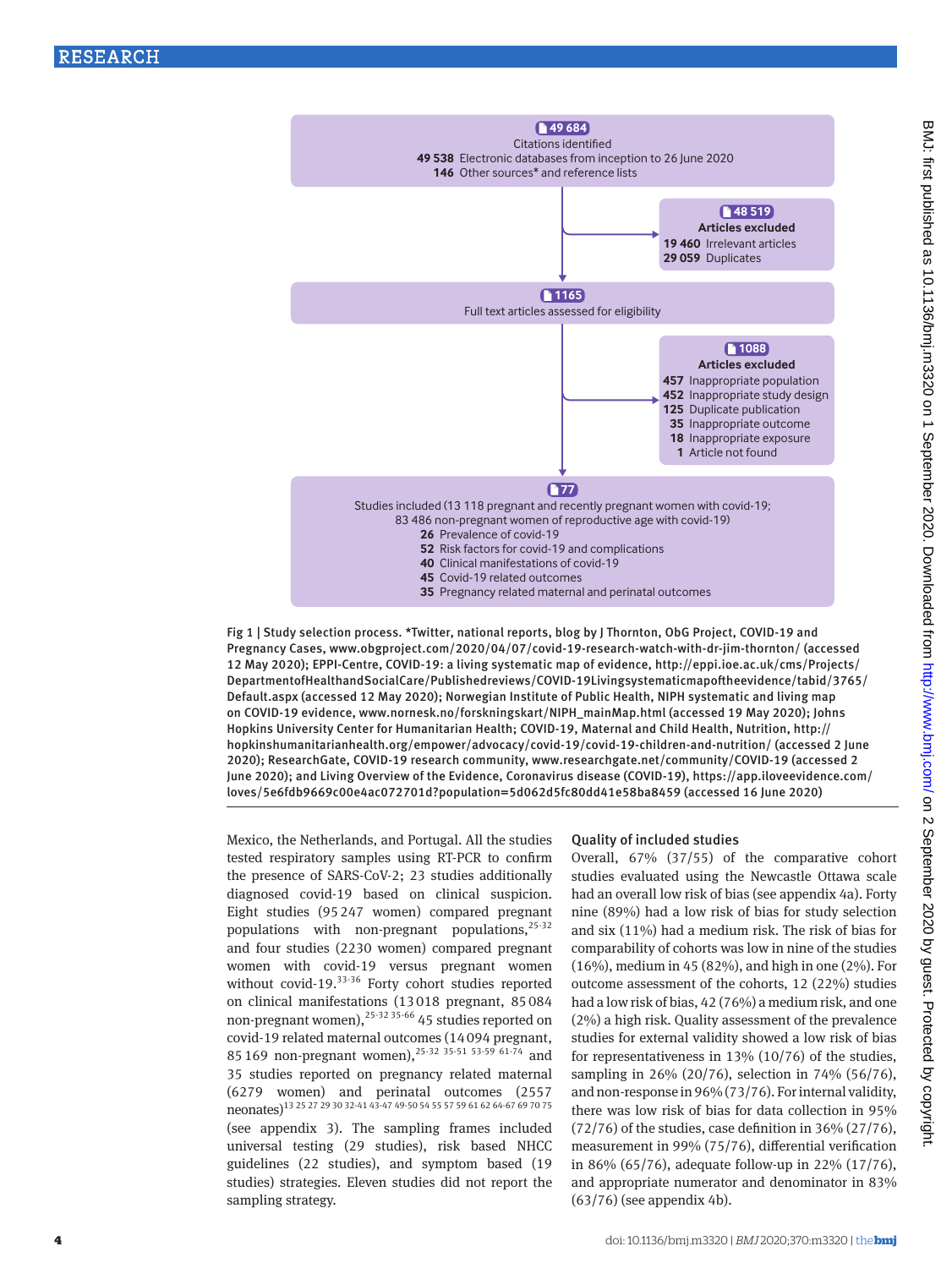

Fig 1 | Study selection process. \*Twitter, national reports, blog by J Thornton, ObG Project, COVID-19 and Pregnancy Cases, [www.obgproject.com/2020/04/07/covid-19-research-watch-with-dr-jim-thornton/](https://www.obgproject.com/2020/04/07/covid-19-research-watch-with-dr-jim-thornton/) (accessed 12 May 2020); EPPI-Centre, COVID-19: a living systematic map of evidence, [http://eppi.ioe.ac.uk/cms/Projects/](http://eppi.ioe.ac.uk/cms/Projects/DepartmentofHealthandSocialCare/Publishedreviews/COVID-19Livingsystematicmapoftheevidence/tabid/3765/Default.aspx) [DepartmentofHealthandSocialCare/Publishedreviews/COVID-19Livingsystematicmapoftheevidence/tabid/3765/](http://eppi.ioe.ac.uk/cms/Projects/DepartmentofHealthandSocialCare/Publishedreviews/COVID-19Livingsystematicmapoftheevidence/tabid/3765/Default.aspx) [Default.aspx](http://eppi.ioe.ac.uk/cms/Projects/DepartmentofHealthandSocialCare/Publishedreviews/COVID-19Livingsystematicmapoftheevidence/tabid/3765/Default.aspx) (accessed 12 May 2020); Norwegian Institute of Public Health, NIPH systematic and living map on COVID-19 evidence, [www.nornesk.no/forskningskart/NIPH\\_mainMap.html](https://www.nornesk.no/forskningskart/NIPH_mainMap.html) (accessed 19 May 2020); Johns Hopkins University Center for Humanitarian Health; COVID-19, Maternal and Child Health, Nutrition, [http://](http://hopkinshumanitarianhealth.org/empower/advocacy/covid-19/covid-19-children-and-nutrition/) [hopkinshumanitarianhealth.org/empower/advocacy/covid-19/covid-19-children-and-nutrition/](http://hopkinshumanitarianhealth.org/empower/advocacy/covid-19/covid-19-children-and-nutrition/) (accessed 2 June 2020); ResearchGate, COVID-19 research community, [www.researchgate.net/community/COVID-19](https://www.researchgate.net/community/COVID-19) (accessed 2 June 2020); and Living Overview of the Evidence, Coronavirus disease (COVID-19), [https://app.iloveevidence.com/](https://app.iloveevidence.com/loves/5e6fdb9669c00e4ac072701d?population=5d062d5fc80dd41e58ba8459) [loves/5e6fdb9669c00e4ac072701d?population=5d062d5fc80dd41e58ba8459](https://app.iloveevidence.com/loves/5e6fdb9669c00e4ac072701d?population=5d062d5fc80dd41e58ba8459) (accessed 16 June 2020)

Mexico, the Netherlands, and Portugal. All the studies tested respiratory samples using RT-PCR to confirm the presence of SARS-CoV-2; 23 studies additionally diagnosed covid-19 based on clinical suspicion. Eight studies (95247 women) compared pregnant populations with non-pregnant populations,  $25-32$ and four studies (2230 women) compared pregnant women with covid-19 versus pregnant women without covid-19. $33-36$  Forty cohort studies reported on clinical manifestations (13018 pregnant, 85084 non-pregnant women), $^{25\cdot32\cdot35\cdot66}$  45 studies reported on covid-19 related maternal outcomes (14094 pregnant, 85169 non-pregnant women),25-32 35-51 53-59 61-74 and 35 studies reported on pregnancy related maternal (6279 women) and perinatal outcomes (2557 neonates)13 25 27 29 30 32-41 43-47 49-50 54 55 57 59 61 62 64-67 69 70 75 (see appendix 3). The sampling frames included universal testing (29 studies), risk based NHCC guidelines (22 studies), and symptom based (19 studies) strategies. Eleven studies did not report the sampling strategy.

#### Quality of included studies

Overall, 67% (37/55) of the comparative cohort studies evaluated using the Newcastle Ottawa scale had an overall low risk of bias (see appendix 4a). Forty nine (89%) had a low risk of bias for study selection and six (11%) had a medium risk. The risk of bias for comparability of cohorts was low in nine of the studies (16%), medium in 45 (82%), and high in one (2%). For outcome assessment of the cohorts, 12 (22%) studies had a low risk of bias, 42 (76%) a medium risk, and one (2%) a high risk. Quality assessment of the prevalence studies for external validity showed a low risk of bias for representativeness in 13% (10/76) of the studies, sampling in 26% (20/76), selection in 74% (56/76), and non-response in 96% (73/76). For internal validity, there was low risk of bias for data collection in 95%  $(72/76)$  of the studies, case definition in 36%  $(27/76)$ , measurement in 99% (75/76), differential verification in 86% (65/76), adequate follow-up in 22% (17/76), and appropriate numerator and denominator in 83% (63/76) (see appendix 4b).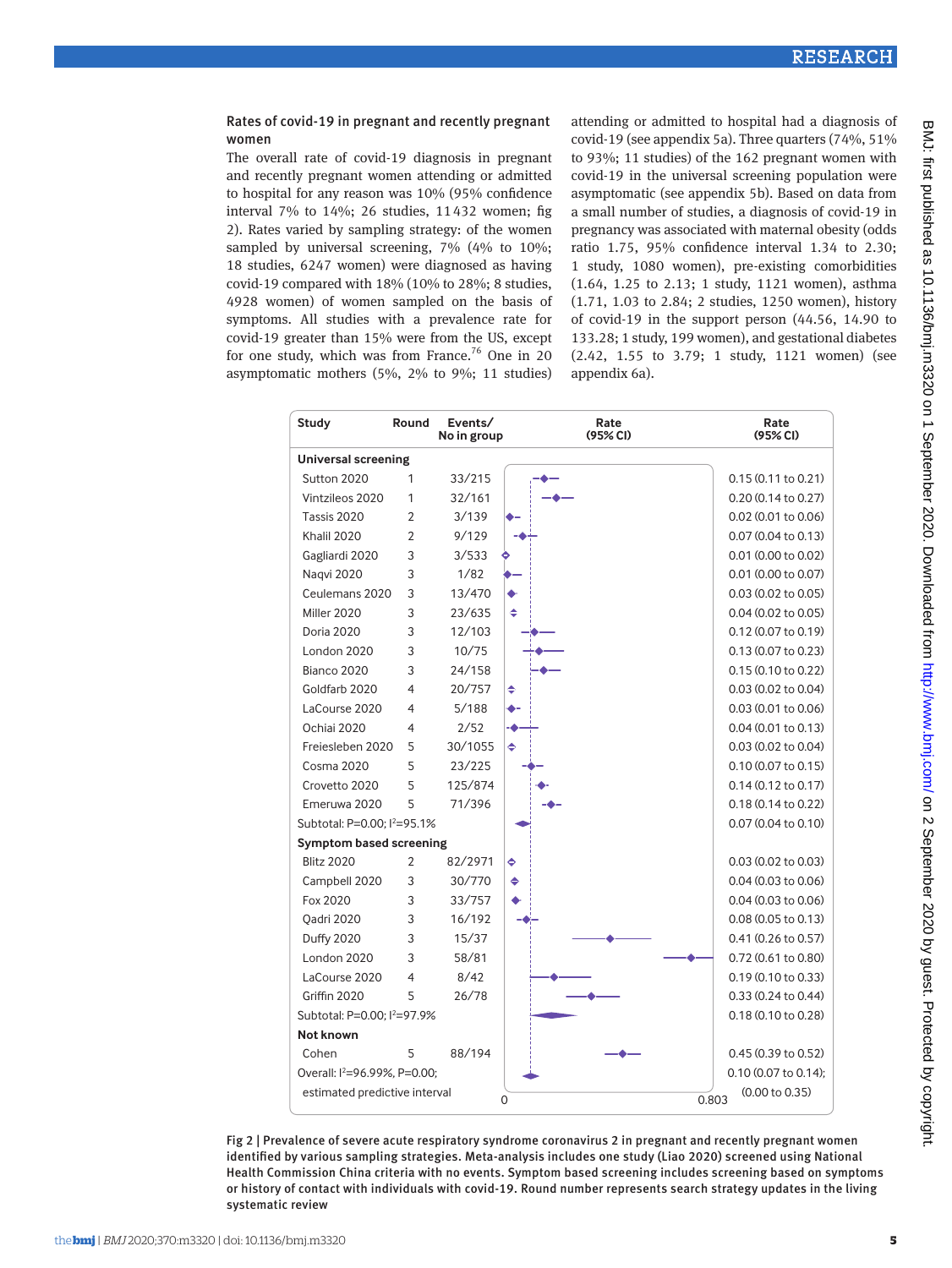## Rates of covid-19 in pregnant and recently pregnant women

The overall rate of covid-19 diagnosis in pregnant and recently pregnant women attending or admitted to hospital for any reason was 10% (95% confidence interval 7% to 14%; 26 studies, 11432 women; fig 2). Rates varied by sampling strategy: of the women sampled by universal screening, 7% (4% to 10%; 18 studies, 6247 women) were diagnosed as having covid-19 compared with 18% (10% to 28%; 8 studies, 4928 women) of women sampled on the basis of symptoms. All studies with a prevalence rate for covid-19 greater than 15% were from the US, except for one study, which was from France.<sup>76</sup> One in 20 asymptomatic mothers (5%, 2% to 9%; 11 studies)

attending or admitted to hospital had a diagnosis of covid-19 (see appendix 5a). Three quarters (74%, 51% to 93%; 11 studies) of the 162 pregnant women with covid-19 in the universal screening population were asymptomatic (see appendix 5b). Based on data from a small number of studies, a diagnosis of covid-19 in pregnancy was associated with maternal obesity (odds ratio 1.75, 95% confidence interval 1.34 to 2.30; 1 study, 1080 women), pre-existing comorbidities (1.64, 1.25 to 2.13; 1 study, 1121 women), asthma (1.71, 1.03 to 2.84; 2 studies, 1250 women), history of covid-19 in the support person (44.56, 14.90 to 133.28; 1 study, 199 women), and gestational diabetes (2.42, 1.55 to 3.79; 1 study, 1121 women) (see appendix 6a).

| Study                                    | Round          | Events/<br>No in group | Rate<br>(95% CI) | Rate<br>(95% <sub>C</sub> )        |
|------------------------------------------|----------------|------------------------|------------------|------------------------------------|
| Universal screening                      |                |                        |                  |                                    |
| Sutton 2020                              | 1              | 33/215                 |                  | 0.15 (0.11 to 0.21)                |
| Vintzileos 2020                          | 1              | 32/161                 |                  | 0.20(0.14 to 0.27)                 |
| Tassis 2020                              | $\overline{2}$ | 3/139                  |                  | 0.02 (0.01 to 0.06)                |
| Khalil 2020                              | $\overline{2}$ | 9/129                  |                  | $0.07$ (0.04 to 0.13)              |
| Gagliardi 2020                           | 3              | 3/533                  |                  | 0.01 (0.00 to 0.02)                |
| Nagvi 2020                               | 3              | 1/82                   |                  | 0.01 (0.00 to 0.07)                |
| Ceulemans 2020                           | 3              | 13/470                 |                  | $0.03$ (0.02 to 0.05)              |
| Miller 2020                              | 3              | 23/635                 | ٠                | 0.04 (0.02 to 0.05)                |
| Doria 2020                               | 3              | 12/103                 |                  | 0.12 (0.07 to 0.19)                |
| London 2020                              | 3              | 10/75                  |                  | 0.13 (0.07 to 0.23)                |
| Bianco 2020                              | 3              | 24/158                 |                  | $0.15(0.10 \text{ to } 0.22)$      |
| Goldfarb 2020                            | 4              | 20/757                 | ٠                | 0.03 (0.02 to 0.04)                |
| LaCourse 2020                            | 4              | 5/188                  |                  | 0.03(0.01 to 0.06)                 |
| Ochiai 2020                              | 4              | 2/52                   |                  | $0.04$ (0.01 to 0.13)              |
| Freiesleben 2020                         | 5              | 30/1055                | ٠                | $0.03$ (0.02 to 0.04)              |
| <b>Cosma 2020</b>                        | 5              | 23/225                 |                  | 0.10 (0.07 to 0.15)                |
| Crovetto 2020                            | 5              | 125/874                |                  | $0.14(0.12 \text{ to } 0.17)$      |
| Emeruwa 2020                             | 5              | 71/396                 |                  | 0.18 (0.14 to 0.22)                |
| Subtotal: P=0.00; l <sup>2</sup> =95.1%  |                |                        |                  | 0.07 (0.04 to 0.10)                |
| Symptom based screening                  |                |                        |                  |                                    |
| <b>Blitz 2020</b>                        | $\overline{2}$ | 82/2971                | ٠                | 0.03 (0.02 to 0.03)                |
| Campbell 2020                            | 3              | 30/770                 | $\blacklozenge$  | $0.04$ (0.03 to 0.06)              |
| Fox 2020                                 | 3              | 33/757                 |                  | $0.04$ (0.03 to 0.06)              |
| Qadri 2020                               | 3              | 16/192                 |                  | 0.08 (0.05 to 0.13)                |
| <b>Duffy 2020</b>                        | 3              | 15/37                  |                  | 0.41 (0.26 to 0.57)                |
| London 2020                              | 3              | 58/81                  |                  | 0.72 (0.61 to 0.80)                |
| LaCourse 2020                            | 4              | 8/42                   |                  | $0.19(0.10 \text{ to } 0.33)$      |
| Griffin 2020                             | 5              | 26/78                  |                  | 0.33 (0.24 to 0.44)                |
| Subtotal: P=0.00; l <sup>2</sup> =97.9%  |                |                        |                  | 0.18 (0.10 to 0.28)                |
| Not known                                |                |                        |                  |                                    |
| Cohen                                    | 5              | 88/194                 |                  | $0.45(0.39)$ to $0.52)$            |
| Overall: I <sup>2</sup> =96.99%, P=0.00; |                |                        |                  | 0.10 (0.07 to 0.14);               |
| estimated predictive interval            |                | 0                      |                  | $(0.00 \text{ to } 0.35)$<br>0.803 |

Fig 2 | Prevalence of severe acute respiratory syndrome coronavirus 2 in pregnant and recently pregnant women identified by various sampling strategies. Meta-analysis includes one study (Liao 2020) screened using National Health Commission China criteria with no events. Symptom based screening includes screening based on symptoms or history of contact with individuals with covid-19. Round number represents search strategy updates in the living systematic review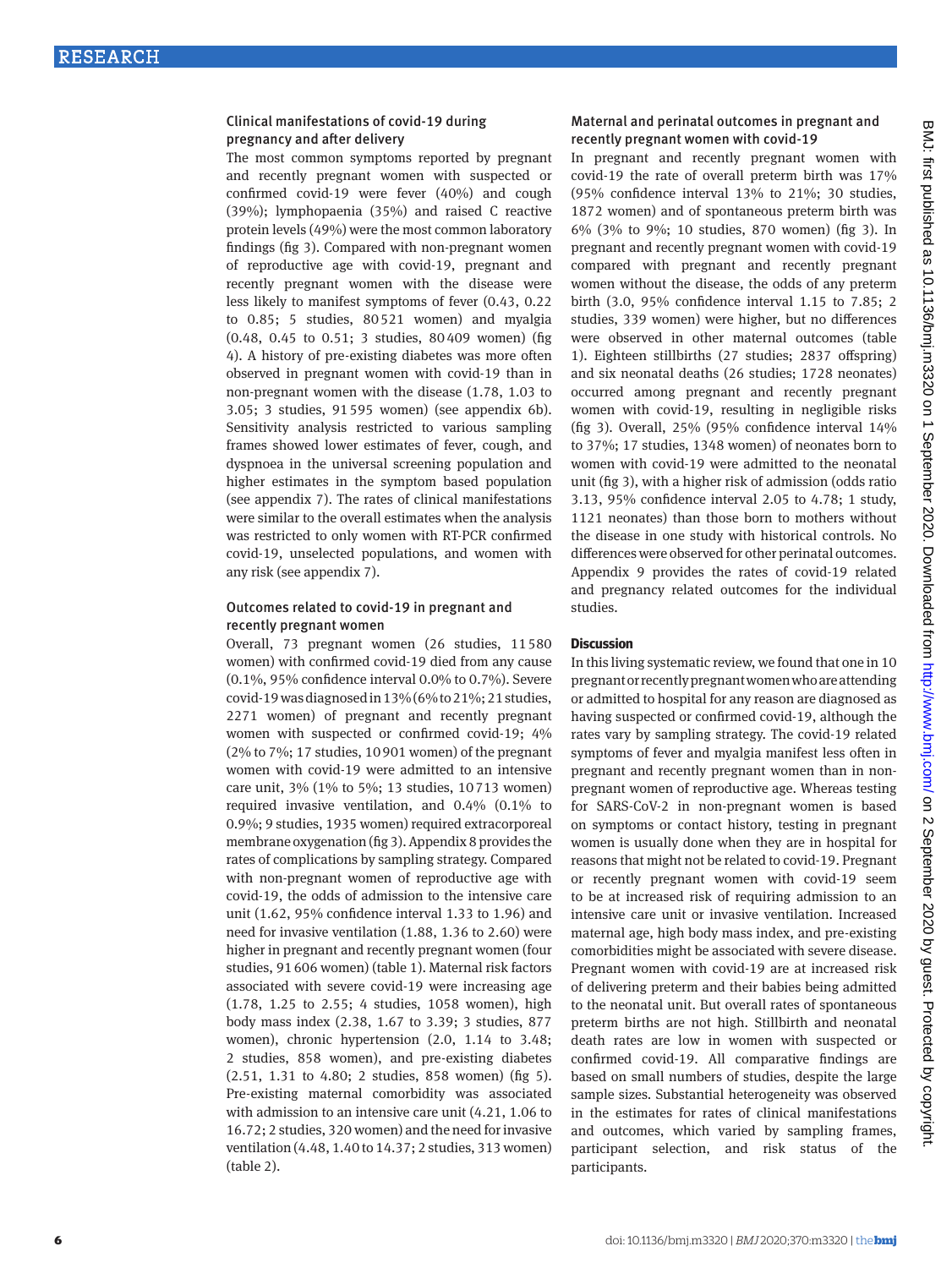# Clinical manifestations of covid-19 during pregnancy and after delivery

The most common symptoms reported by pregnant and recently pregnant women with suspected or confirmed covid-19 were fever (40%) and cough (39%); lymphopaenia (35%) and raised C reactive protein levels (49%) were the most common laboratory findings (fig 3). Compared with non-pregnant women of reproductive age with covid-19, pregnant and recently pregnant women with the disease were less likely to manifest symptoms of fever (0.43, 0.22 to 0.85; 5 studies, 80521 women) and myalgia (0.48, 0.45 to 0.51; 3 studies, 80409 women) (fig 4). A history of pre-existing diabetes was more often observed in pregnant women with covid-19 than in non-pregnant women with the disease (1.78, 1.03 to 3.05; 3 studies, 91595 women) (see appendix 6b). Sensitivity analysis restricted to various sampling frames showed lower estimates of fever, cough, and dyspnoea in the universal screening population and higher estimates in the symptom based population (see appendix 7). The rates of clinical manifestations were similar to the overall estimates when the analysis was restricted to only women with RT-PCR confirmed covid-19, unselected populations, and women with any risk (see appendix 7).

#### Outcomes related to covid-19 in pregnant and recently pregnant women

Overall, 73 pregnant women (26 studies, 11580 women) with confirmed covid-19 died from any cause (0.1%, 95% confidence interval 0.0% to 0.7%). Severe covid-19 was diagnosed in 13% (6% to 21%; 21 studies, 2271 women) of pregnant and recently pregnant women with suspected or confirmed covid-19; 4% (2% to 7%; 17 studies, 10901 women) of the pregnant women with covid-19 were admitted to an intensive care unit, 3% (1% to 5%; 13 studies, 10713 women) required invasive ventilation, and 0.4% (0.1% to 0.9%; 9 studies, 1935 women) required extracorporeal membrane oxygenation (fig 3). Appendix 8 provides the rates of complications by sampling strategy. Compared with non-pregnant women of reproductive age with covid-19, the odds of admission to the intensive care unit (1.62, 95% confidence interval 1.33 to 1.96) and need for invasive ventilation (1.88, 1.36 to 2.60) were higher in pregnant and recently pregnant women (four studies, 91606 women) (table 1). Maternal risk factors associated with severe covid-19 were increasing age (1.78, 1.25 to 2.55; 4 studies, 1058 women), high body mass index (2.38, 1.67 to 3.39; 3 studies, 877 women), chronic hypertension (2.0, 1.14 to 3.48; 2 studies, 858 women), and pre-existing diabetes (2.51, 1.31 to 4.80; 2 studies, 858 women) (fig 5). Pre-existing maternal comorbidity was associated with admission to an intensive care unit (4.21, 1.06 to 16.72; 2 studies, 320 women) and the need for invasive ventilation (4.48, 1.40 to 14.37; 2 studies, 313 women) (table 2).

# Maternal and perinatal outcomes in pregnant and recently pregnant women with covid-19

In pregnant and recently pregnant women with covid-19 the rate of overall preterm birth was 17% (95% confidence interval 13% to 21%; 30 studies, 1872 women) and of spontaneous preterm birth was 6% (3% to 9%; 10 studies, 870 women) (fig 3). In pregnant and recently pregnant women with covid-19 compared with pregnant and recently pregnant women without the disease, the odds of any preterm birth (3.0, 95% confidence interval 1.15 to 7.85; 2 studies, 339 women) were higher, but no differences were observed in other maternal outcomes (table 1). Eighteen stillbirths (27 studies; 2837 offspring) and six neonatal deaths (26 studies; 1728 neonates) occurred among pregnant and recently pregnant women with covid-19, resulting in negligible risks (fig 3). Overall, 25% (95% confidence interval 14% to 37%; 17 studies, 1348 women) of neonates born to women with covid-19 were admitted to the neonatal unit (fig 3), with a higher risk of admission (odds ratio 3.13, 95% confidence interval 2.05 to 4.78; 1 study, 1121 neonates) than those born to mothers without the disease in one study with historical controls. No differences were observed for other perinatal outcomes. Appendix 9 provides the rates of covid-19 related and pregnancy related outcomes for the individual studies.

# **Discussion**

In this living systematic review, we found that one in 10 pregnant or recently pregnant women who are attending or admitted to hospital for any reason are diagnosed as having suspected or confirmed covid-19, although the rates vary by sampling strategy. The covid-19 related symptoms of fever and myalgia manifest less often in pregnant and recently pregnant women than in nonpregnant women of reproductive age. Whereas testing for SARS-CoV-2 in non-pregnant women is based on symptoms or contact history, testing in pregnant women is usually done when they are in hospital for reasons that might not be related to covid-19. Pregnant or recently pregnant women with covid-19 seem to be at increased risk of requiring admission to an intensive care unit or invasive ventilation. Increased maternal age, high body mass index, and pre-existing comorbidities might be associated with severe disease. Pregnant women with covid-19 are at increased risk of delivering preterm and their babies being admitted to the neonatal unit. But overall rates of spontaneous preterm births are not high. Stillbirth and neonatal death rates are low in women with suspected or confirmed covid-19. All comparative findings are based on small numbers of studies, despite the large sample sizes. Substantial heterogeneity was observed in the estimates for rates of clinical manifestations and outcomes, which varied by sampling frames, participant selection, and risk status of the participants.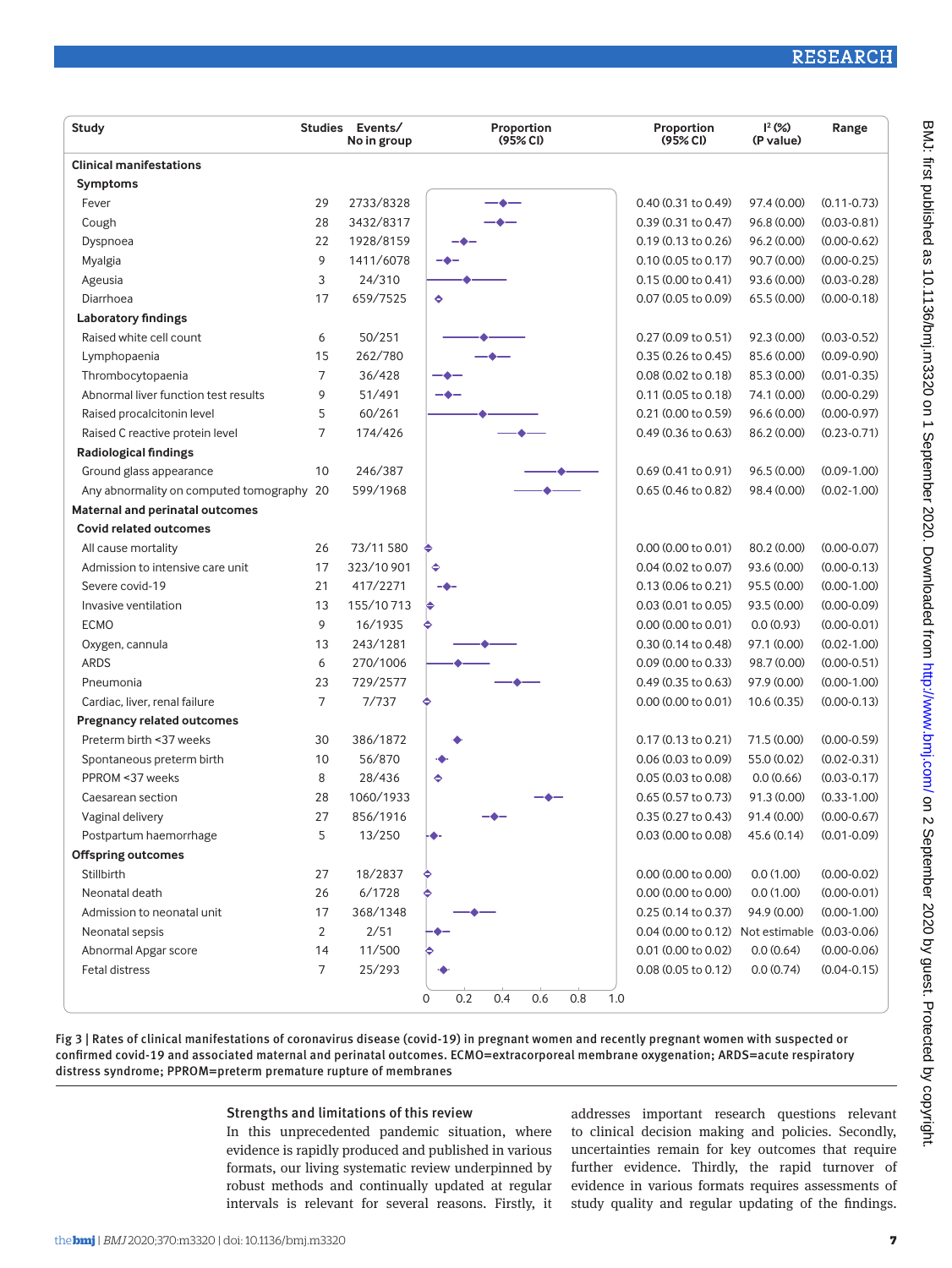| Study                                  |                | Studies Events/<br>No in group | Proportion<br>(95% C)                    | Proportion<br>(95% <sub>C</sub> )             | $I^2$ (%)<br>(P value) | Range           |
|----------------------------------------|----------------|--------------------------------|------------------------------------------|-----------------------------------------------|------------------------|-----------------|
| <b>Clinical manifestations</b>         |                |                                |                                          |                                               |                        |                 |
| Symptoms                               |                |                                |                                          |                                               |                        |                 |
| Fever                                  | 29             | 2733/8328                      |                                          | 0.40 (0.31 to 0.49)                           | 97.4 (0.00)            | $(0.11 - 0.73)$ |
| Cough                                  | 28             | 3432/8317                      |                                          | 0.39(0.31 to 0.47)                            | 96.8 (0.00)            | $(0.03 - 0.81)$ |
| Dyspnoea                               | 22             | 1928/8159                      |                                          | $0.19(0.13 \text{ to } 0.26)$                 | 96.2 (0.00)            | $(0.00 - 0.62)$ |
| Myalgia                                | 9              | 1411/6078                      |                                          | 0.10 (0.05 to 0.17)                           | 90.7 (0.00)            | $(0.00 - 0.25)$ |
| Ageusia                                | 3              | 24/310                         |                                          | 0.15 (0.00 to 0.41)                           | 93.6 (0.00)            | $(0.03 - 0.28)$ |
| Diarrhoea                              | 17             | 659/7525                       | ٠                                        | 0.07 (0.05 to 0.09)                           | 65.5 (0.00)            | $(0.00 - 0.18)$ |
| <b>Laboratory findings</b>             |                |                                |                                          |                                               |                        |                 |
| Raised white cell count                | 6              | 50/251                         |                                          | 0.27 (0.09 to 0.51)                           | 92.3 (0.00)            | $(0.03 - 0.52)$ |
| Lymphopaenia                           | 15             | 262/780                        |                                          | 0.35 (0.26 to 0.45)                           | 85.6 (0.00)            | $(0.09 - 0.90)$ |
| Thrombocytopaenia                      | $\overline{7}$ | 36/428                         |                                          | 0.08 (0.02 to 0.18)                           | 85.3 (0.00)            | $(0.01 - 0.35)$ |
| Abnormal liver function test results   | 9              | 51/491                         |                                          | 0.11 (0.05 to 0.18)                           | 74.1 (0.00)            | $(0.00 - 0.29)$ |
| Raised procalcitonin level             | 5              | 60/261                         |                                          | 0.21 (0.00 to 0.59)                           | 96.6 (0.00)            | $(0.00 - 0.97)$ |
| Raised C reactive protein level        | 7              | 174/426                        |                                          | 0.49 (0.36 to 0.63)                           | 86.2 (0.00)            | $(0.23 - 0.71)$ |
| <b>Radiological findings</b>           |                |                                |                                          |                                               |                        |                 |
| Ground glass appearance                | 10             | 246/387                        |                                          | 0.69 (0.41 to 0.91)                           | 96.5 (0.00)            | $(0.09 - 1.00)$ |
| Any abnormality on computed tomography | 20             | 599/1968                       |                                          | 0.65 (0.46 to 0.82)                           | 98.4 (0.00)            | $(0.02 - 1.00)$ |
| Maternal and perinatal outcomes        |                |                                |                                          |                                               |                        |                 |
| <b>Covid related outcomes</b>          |                |                                |                                          |                                               |                        |                 |
| All cause mortality                    | 26             | 73/11 580                      |                                          | 0.00 (0.00 to 0.01)                           | 80.2 (0.00)            | $(0.00 - 0.07)$ |
| Admission to intensive care unit       | 17             | 323/10 901                     | ٠                                        | 0.04 (0.02 to 0.07)                           | 93.6 (0.00)            | $(0.00 - 0.13)$ |
| Severe covid-19                        | 21             | 417/2271                       | $-$                                      | 0.13 (0.06 to 0.21)                           | 95.5 (0.00)            | $(0.00 - 1.00)$ |
| Invasive ventilation                   | 13             | 155/10713                      |                                          | 0.03 (0.01 to 0.05)                           | 93.5 (0.00)            | $(0.00 - 0.09)$ |
| <b>ECMO</b>                            | 9              | 16/1935                        |                                          | 0.00 (0.00 to 0.01)                           | 0.0(0.93)              | $(0.00 - 0.01)$ |
| Oxygen, cannula                        | 13             | 243/1281                       |                                          | 0.30 (0.14 to 0.48)                           | 97.1 (0.00)            | $(0.02 - 1.00)$ |
| <b>ARDS</b>                            | 6              | 270/1006                       |                                          | 0.09 (0.00 to 0.33)                           | 98.7 (0.00)            | $(0.00 - 0.51)$ |
| Pneumonia                              | 23             | 729/2577                       |                                          | 0.49 (0.35 to 0.63)                           | 97.9 (0.00)            | $(0.00 - 1.00)$ |
| Cardiac, liver, renal failure          | $\overline{7}$ | 7/737                          |                                          | 0.00 (0.00 to 0.01)                           | 10.6(0.35)             | $(0.00 - 0.13)$ |
| <b>Pregnancy related outcomes</b>      |                |                                |                                          |                                               |                        |                 |
| Preterm birth <37 weeks                | 30             | 386/1872                       |                                          | 0.17 (0.13 to 0.21)                           | 71.5 (0.00)            | $(0.00 - 0.59)$ |
| Spontaneous preterm birth              | 10             | 56/870                         |                                          | 0.06 (0.03 to 0.09)                           | 55.0 (0.02)            | $(0.02 - 0.31)$ |
| PPROM <37 weeks                        | 8              | 28/436                         | ٠                                        | 0.05 (0.03 to 0.08)                           | 0.0(0.66)              | $(0.03 - 0.17)$ |
| Caesarean section                      | 28             | 1060/1933                      |                                          | 0.65 (0.57 to 0.73)                           | 91.3 (0.00)            | $(0.33 - 1.00)$ |
| Vaginal delivery                       | 27             | 856/1916                       |                                          | 0.35 (0.27 to 0.43)                           | 91.4 (0.00)            | $(0.00 - 0.67)$ |
| Postpartum haemorrhage                 | 5              | 13/250                         |                                          | 0.03 (0.00 to 0.08)                           | 45.6 (0.14)            | $(0.01 - 0.09)$ |
| <b>Offspring outcomes</b>              |                |                                |                                          |                                               |                        |                 |
| Stillbirth                             | 27             | 18/2837                        |                                          | 0.00 (0.00 to 0.00)                           | 0.0(1.00)              | $(0.00 - 0.02)$ |
| Neonatal death                         | 26             | 6/1728                         |                                          | 0.00 (0.00 to 0.00)                           | 0.0(1.00)              | $(0.00 - 0.01)$ |
| Admission to neonatal unit             | 17             | 368/1348                       |                                          | 0.25 (0.14 to 0.37)                           | 94.9 (0.00)            | $(0.00-1.00)$   |
| Neonatal sepsis                        | 2              | 2/51                           |                                          | 0.04 (0.00 to 0.12) Not estimable (0.03-0.06) |                        |                 |
| Abnormal Apgar score                   | 14             | 11/500                         |                                          | 0.01 (0.00 to 0.02)                           | 0.0(0.64)              | $(0.00 - 0.06)$ |
| Fetal distress                         | 7              | 25/293                         |                                          | 0.08 (0.05 to 0.12)                           | 0.0(0.74)              | $(0.04 - 0.15)$ |
|                                        |                |                                | 0.4<br>0.6<br>$0.8\,$<br>0<br>0.2<br>1.0 |                                               |                        |                 |

Fig 3 | Rates of clinical manifestations of coronavirus disease (covid-19) in pregnant women and recently pregnant women with suspected or confirmed covid-19 and associated maternal and perinatal outcomes. ECMO=extracorporeal membrane oxygenation; ARDS=acute respiratory distress syndrome; PPROM=preterm premature rupture of membranes

#### Strengths and limitations of this review

In this unprecedented pandemic situation, where evidence is rapidly produced and published in various formats, our living systematic review underpinned by robust methods and continually updated at regular intervals is relevant for several reasons. Firstly, it addresses important research questions relevant to clinical decision making and policies. Secondly, uncertainties remain for key outcomes that require further evidence. Thirdly, the rapid turnover of evidence in various formats requires assessments of study quality and regular updating of the findings.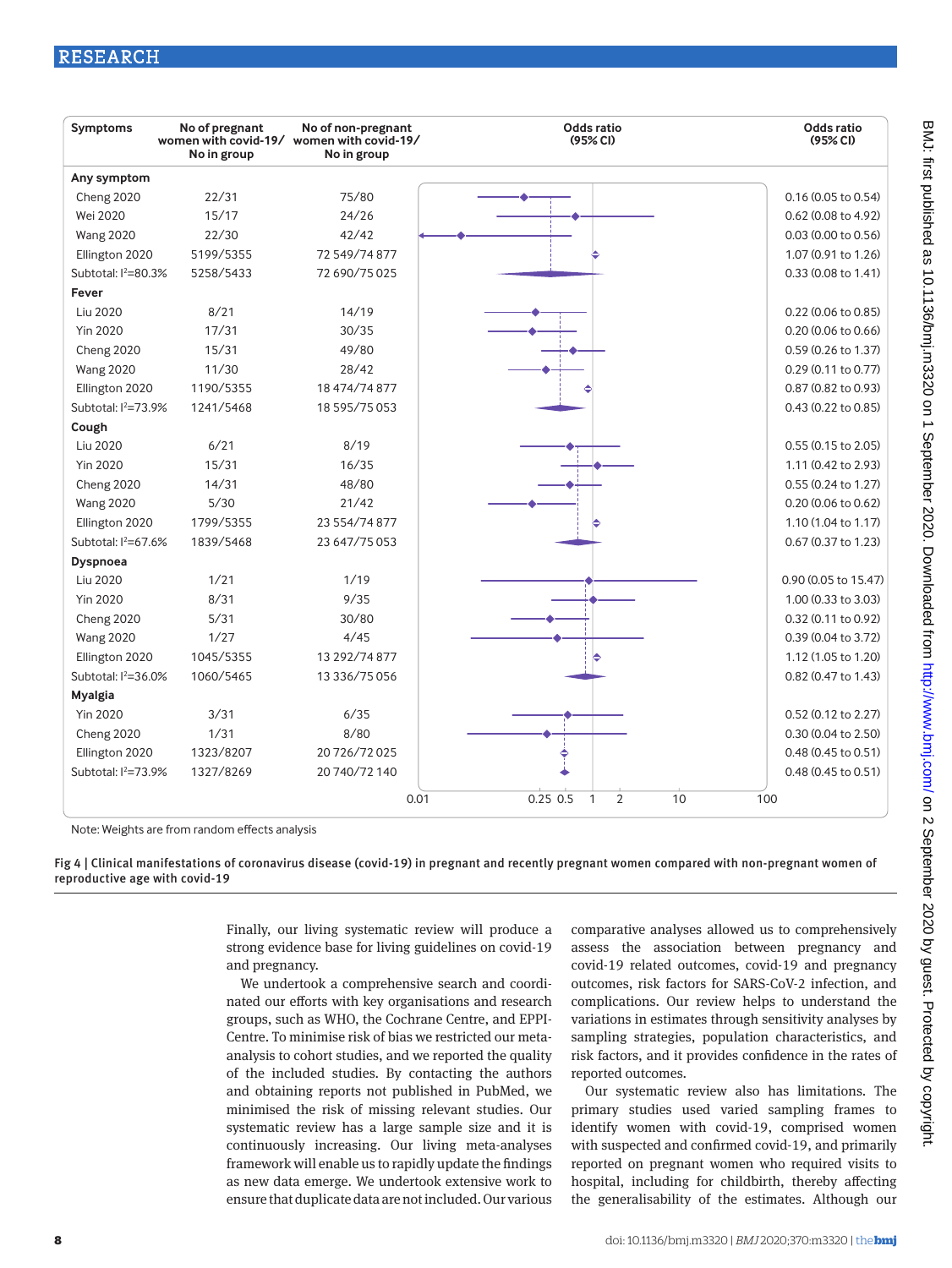| Symptoms                        | No of pregnant<br>No in group | No of non-pregnant<br>women with covid-19/ women with covid-19/<br>No in group | <b>Odds ratio</b><br>(95% CI)             | <b>Odds ratio</b><br>(95% CI) |
|---------------------------------|-------------------------------|--------------------------------------------------------------------------------|-------------------------------------------|-------------------------------|
| Any symptom                     |                               |                                                                                |                                           |                               |
| Cheng 2020                      | 22/31                         | 75/80                                                                          |                                           | 0.16 (0.05 to 0.54)           |
| <b>Wei 2020</b>                 | 15/17                         | 24/26                                                                          |                                           | 0.62 (0.08 to 4.92)           |
| <b>Wang 2020</b>                | 22/30                         | 42/42                                                                          |                                           | 0.03 (0.00 to 0.56)           |
| Ellington 2020                  | 5199/5355                     | 72 549/74 877                                                                  |                                           | 1.07 (0.91 to 1.26)           |
| Subtotal: $I^2 = 80.3\%$        | 5258/5433                     | 72 690/75 025                                                                  |                                           | 0.33 (0.08 to 1.41)           |
| Fever                           |                               |                                                                                |                                           |                               |
| Liu 2020                        | 8/21                          | 14/19                                                                          |                                           | 0.22 (0.06 to 0.85)           |
| <b>Yin 2020</b>                 | 17/31                         | 30/35                                                                          |                                           | $0.20(0.06 \text{ to } 0.66)$ |
| Cheng 2020                      | 15/31                         | 49/80                                                                          |                                           | 0.59 (0.26 to 1.37)           |
| <b>Wang 2020</b>                | 11/30                         | 28/42                                                                          |                                           | 0.29 (0.11 to 0.77)           |
| Ellington 2020                  | 1190/5355                     | 18 474/74 877                                                                  |                                           | 0.87 (0.82 to 0.93)           |
| Subtotal: $1^{2}=73.9\%$        | 1241/5468                     | 18 595/75 053                                                                  |                                           | 0.43 (0.22 to 0.85)           |
| Cough                           |                               |                                                                                |                                           |                               |
| Liu 2020                        | 6/21                          | 8/19                                                                           |                                           | 0.55 (0.15 to 2.05)           |
| <b>Yin 2020</b>                 | 15/31                         | 16/35                                                                          |                                           | 1.11 (0.42 to 2.93)           |
| Cheng 2020                      | 14/31                         | 48/80                                                                          |                                           | 0.55 (0.24 to 1.27)           |
| <b>Wang 2020</b>                | 5/30                          | 21/42                                                                          |                                           | 0.20 (0.06 to 0.62)           |
| Ellington 2020                  | 1799/5355                     | 23 554/74 877                                                                  |                                           | 1.10 (1.04 to 1.17)           |
| Subtotal: $1^2=67.6%$           | 1839/5468                     | 23 647/75 053                                                                  |                                           | 0.67 (0.37 to 1.23)           |
| Dyspnoea                        |                               |                                                                                |                                           |                               |
| Liu 2020                        | 1/21                          | 1/19                                                                           |                                           | 0.90 (0.05 to 15.47)          |
| <b>Yin 2020</b>                 | 8/31                          | 9/35                                                                           |                                           | 1.00 (0.33 to 3.03)           |
| Cheng 2020                      | 5/31                          | 30/80                                                                          |                                           | 0.32 (0.11 to 0.92)           |
| <b>Wang 2020</b>                | 1/27                          | 4/45                                                                           |                                           | 0.39 (0.04 to 3.72)           |
| Ellington 2020                  | 1045/5355                     | 13 292/74 877                                                                  |                                           | 1.12 (1.05 to 1.20)           |
| Subtotal: $I^2 = 36.0\%$        | 1060/5465                     | 13 336/75 056                                                                  |                                           | 0.82 (0.47 to 1.43)           |
| <b>Myalgia</b>                  |                               |                                                                                |                                           |                               |
| <b>Yin 2020</b>                 | 3/31                          | 6/35                                                                           |                                           | 0.52 (0.12 to 2.27)           |
| Cheng 2020                      | 1/31                          | 8/80                                                                           |                                           | 0.30 (0.04 to 2.50)           |
| Ellington 2020                  | 1323/8207                     | 20726/72025                                                                    |                                           | 0.48 (0.45 to 0.51)           |
| Subtotal: I <sup>2</sup> =73.9% | 1327/8269                     | 20 740/72 140                                                                  |                                           | 0.48 (0.45 to 0.51)           |
|                                 |                               | 0.01                                                                           | $0.25$ $0.5$<br>$\overline{2}$<br>10<br>1 | 100                           |

Note: Weights are from random effects analysis

Fig 4 | Clinical manifestations of coronavirus disease (covid-19) in pregnant and recently pregnant women compared with non-pregnant women of reproductive age with covid-19

> Finally, our living systematic review will produce a strong evidence base for living guidelines on covid-19 and pregnancy.

> We undertook a comprehensive search and coordinated our efforts with key organisations and research groups, such as WHO, the Cochrane Centre, and EPPI-Centre. To minimise risk of bias we restricted our metaanalysis to cohort studies, and we reported the quality of the included studies. By contacting the authors and obtaining reports not published in PubMed, we minimised the risk of missing relevant studies. Our systematic review has a large sample size and it is continuously increasing. Our living meta-analyses framework will enable us to rapidly update the findings as new data emerge. We undertook extensive work to ensure that duplicate data are not included. Our various

comparative analyses allowed us to comprehensively assess the association between pregnancy and covid-19 related outcomes, covid-19 and pregnancy outcomes, risk factors for SARS-CoV-2 infection, and complications. Our review helps to understand the variations in estimates through sensitivity analyses by sampling strategies, population characteristics, and risk factors, and it provides confidence in the rates of reported outcomes.

Our systematic review also has limitations. The primary studies used varied sampling frames to identify women with covid-19, comprised women with suspected and confirmed covid-19, and primarily reported on pregnant women who required visits to hospital, including for childbirth, thereby affecting the generalisability of the estimates. Although our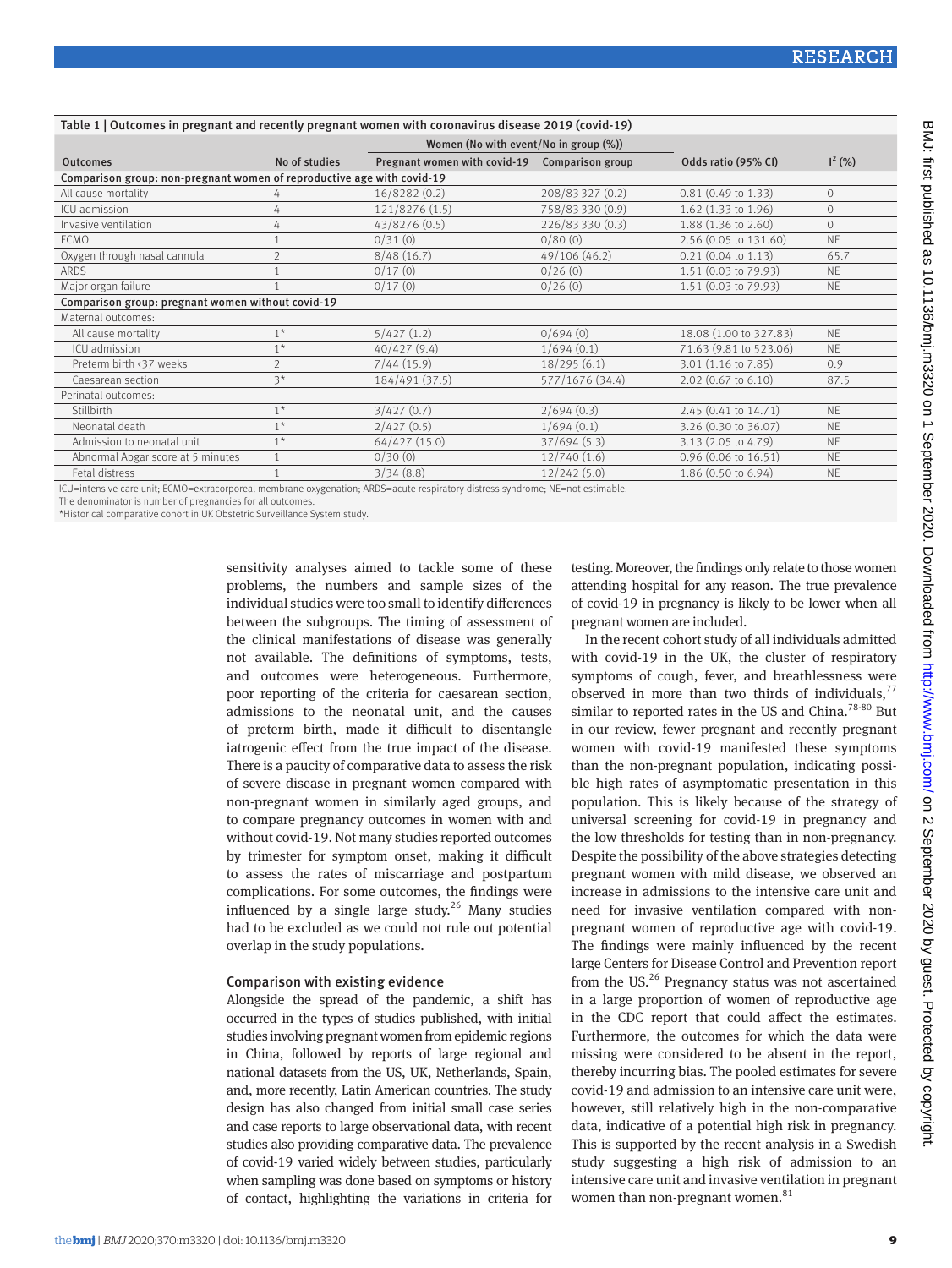| Table 1   Outcomes in pregnant and recently pregnant women with coronavirus disease 2019 (covid-19) |                |                                               |                  |                               |           |  |  |
|-----------------------------------------------------------------------------------------------------|----------------|-----------------------------------------------|------------------|-------------------------------|-----------|--|--|
|                                                                                                     |                | Women (No with event/No in group (%))         |                  |                               |           |  |  |
| <b>Outcomes</b>                                                                                     | No of studies  | Pregnant women with covid-19 Comparison group |                  | Odds ratio (95% CI)           | $I^2$ (%) |  |  |
| Comparison group: non-pregnant women of reproductive age with covid-19                              |                |                                               |                  |                               |           |  |  |
| All cause mortality                                                                                 |                | 16/8282(0.2)                                  | 208/83 327 (0.2) | $0.81$ (0.49 to 1.33)         | $\circ$   |  |  |
| ICU admission                                                                                       | 4              | 121/8276 (1.5)                                | 758/83330 (0.9)  | $1.62$ (1.33 to 1.96)         | $\circ$   |  |  |
| Invasive ventilation                                                                                | 4              | 43/8276 (0.5)                                 | 226/83330 (0.3)  | 1.88 (1.36 to 2.60)           | $\Omega$  |  |  |
| <b>ECMO</b>                                                                                         |                | 0/31(0)                                       | 0/80(0)          | 2.56 (0.05 to 131.60)         | <b>NE</b> |  |  |
| Oxygen through nasal cannula                                                                        |                | 8/48(16.7)                                    | 49/106 (46.2)    | $0.21$ (0.04 to 1.13)         | 65.7      |  |  |
| <b>ARDS</b>                                                                                         |                | 0/17(0)                                       | 0/26(0)          | 1.51 (0.03 to 79.93)          | <b>NE</b> |  |  |
| Major organ failure                                                                                 |                | 0/17(0)                                       | 0/26(0)          | 1.51 (0.03 to 79.93)          | <b>NE</b> |  |  |
| Comparison group: pregnant women without covid-19                                                   |                |                                               |                  |                               |           |  |  |
| Maternal outcomes:                                                                                  |                |                                               |                  |                               |           |  |  |
| All cause mortality                                                                                 | $1^{\star}$    | 5/427(1.2)                                    | 0/694(0)         | 18.08 (1.00 to 327.83)        | <b>NE</b> |  |  |
| ICU admission                                                                                       | $1*$           | 40/427(9.4)                                   | 1/694(0.1)       | 71.63 (9.81 to 523.06)        | <b>NF</b> |  |  |
| Preterm birth <37 weeks                                                                             | $\overline{2}$ | 7/44(15.9)                                    | 18/295(6.1)      | $3.01$ $(1.16$ to $7.85)$     | 0.9       |  |  |
| Caesarean section                                                                                   | $3*$           | 184/491 (37.5)                                | 577/1676 (34.4)  | 2.02 (0.67 to 6.10)           | 87.5      |  |  |
| Perinatal outcomes:                                                                                 |                |                                               |                  |                               |           |  |  |
| Stillbirth                                                                                          | $1*$           | 3/427(0.7)                                    | 2/694(0.3)       | 2.45 (0.41 to 14.71)          | <b>NE</b> |  |  |
| Neonatal death                                                                                      | $1*$           | 2/427(0.5)                                    | 1/694(0.1)       | 3.26 (0.30 to 36.07)          | <b>NE</b> |  |  |
| Admission to neonatal unit                                                                          | $1*$           | 64/427 (15.0)                                 | 37/694(5.3)      | $3.13(2.05 \text{ to } 4.79)$ | <b>NE</b> |  |  |
| Abnormal Apgar score at 5 minutes                                                                   |                | 0/30(0)                                       | 12/740(1.6)      | $0.96$ (0.06 to 16.51)        | <b>NE</b> |  |  |
| Fetal distress                                                                                      |                | 3/34(8.8)                                     | 12/242(5.0)      | 1.86 (0.50 to 6.94)           | <b>NE</b> |  |  |
|                                                                                                     |                |                                               |                  |                               |           |  |  |

ICU=intensive care unit; ECMO=extracorporeal membrane oxygenation; ARDS=acute respiratory distress syndrome; NE=not estimable.

The denominator is number of pregnancies for all outcomes.

\*Historical comparative cohort in UK Obstetric Surveillance System study.

sensitivity analyses aimed to tackle some of these problems, the numbers and sample sizes of the individual studies were too small to identify differences between the subgroups. The timing of assessment of the clinical manifestations of disease was generally not available. The definitions of symptoms, tests, and outcomes were heterogeneous. Furthermore, poor reporting of the criteria for caesarean section, admissions to the neonatal unit, and the causes of preterm birth, made it difficult to disentangle iatrogenic effect from the true impact of the disease. There is a paucity of comparative data to assess the risk of severe disease in pregnant women compared with non-pregnant women in similarly aged groups, and to compare pregnancy outcomes in women with and without covid-19. Not many studies reported outcomes by trimester for symptom onset, making it difficult to assess the rates of miscarriage and postpartum complications. For some outcomes, the findings were influenced by a single large study.<sup>26</sup> Many studies had to be excluded as we could not rule out potential overlap in the study populations.

#### Comparison with existing evidence

Alongside the spread of the pandemic, a shift has occurred in the types of studies published, with initial studies involving pregnant women from epidemic regions in China, followed by reports of large regional and national datasets from the US, UK, Netherlands, Spain, and, more recently, Latin American countries. The study design has also changed from initial small case series and case reports to large observational data, with recent studies also providing comparative data. The prevalence of covid-19 varied widely between studies, particularly when sampling was done based on symptoms or history of contact, highlighting the variations in criteria for testing. Moreover, the findings only relate to those women attending hospital for any reason. The true prevalence of covid-19 in pregnancy is likely to be lower when all pregnant women are included.

In the recent cohort study of all individuals admitted with covid-19 in the UK, the cluster of respiratory symptoms of cough, fever, and breathlessness were observed in more than two thirds of individuals, $^{77}$ similar to reported rates in the US and China.<sup>78-80</sup> But in our review, fewer pregnant and recently pregnant women with covid-19 manifested these symptoms than the non-pregnant population, indicating possible high rates of asymptomatic presentation in this population. This is likely because of the strategy of universal screening for covid-19 in pregnancy and the low thresholds for testing than in non-pregnancy. Despite the possibility of the above strategies detecting pregnant women with mild disease, we observed an increase in admissions to the intensive care unit and need for invasive ventilation compared with nonpregnant women of reproductive age with covid-19. The findings were mainly influenced by the recent large Centers for Disease Control and Prevention report from the US.<sup>26</sup> Pregnancy status was not ascertained in a large proportion of women of reproductive age in the CDC report that could affect the estimates. Furthermore, the outcomes for which the data were missing were considered to be absent in the report, thereby incurring bias. The pooled estimates for severe covid-19 and admission to an intensive care unit were, however, still relatively high in the non-comparative data, indicative of a potential high risk in pregnancy. This is supported by the recent analysis in a Swedish study suggesting a high risk of admission to an intensive care unit and invasive ventilation in pregnant women than non-pregnant women.<sup>81</sup>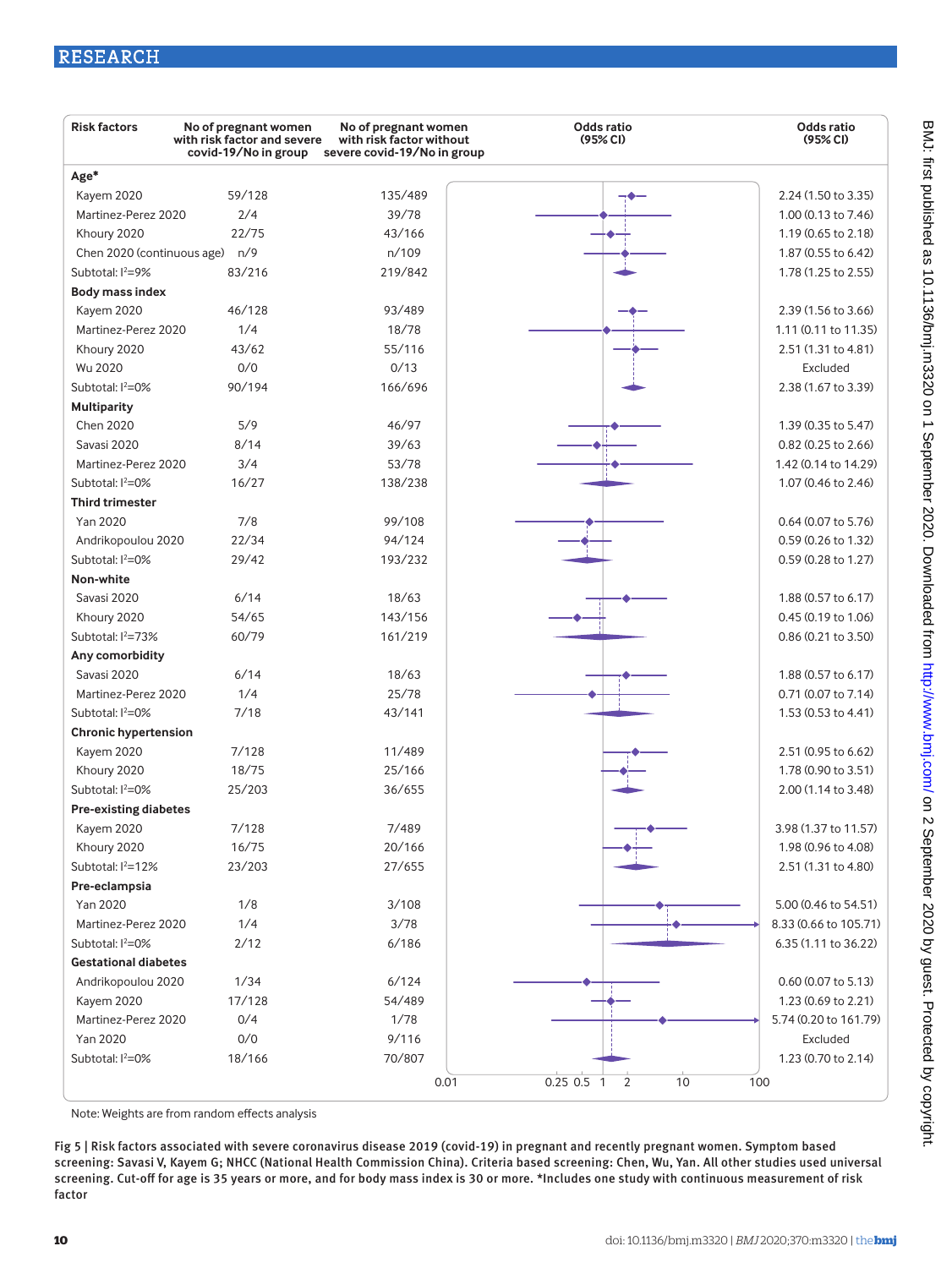| <b>Risk factors</b>           | No of pregnant women<br>with risk factor and severe<br>covid-19/No in group | No of pregnant women<br>with risk factor without<br>severe covid-19/No in group | Odds ratio<br>(95% <sub>C</sub> ) | Odds ratio<br>(95% CI) |
|-------------------------------|-----------------------------------------------------------------------------|---------------------------------------------------------------------------------|-----------------------------------|------------------------|
| Age*                          |                                                                             |                                                                                 |                                   |                        |
| Kayem 2020                    | 59/128                                                                      | 135/489                                                                         |                                   | 2.24 (1.50 to 3.35)    |
| Martinez-Perez 2020           | 2/4                                                                         | 39/78                                                                           |                                   | 1.00 (0.13 to 7.46)    |
| Khoury 2020                   | 22/75                                                                       | 43/166                                                                          |                                   | 1.19 (0.65 to 2.18)    |
| Chen 2020 (continuous age)    | n/9                                                                         | n/109                                                                           |                                   | 1.87 (0.55 to 6.42)    |
| Subtotal: I <sup>2</sup> =9%  | 83/216                                                                      | 219/842                                                                         |                                   | 1.78 (1.25 to 2.55)    |
| <b>Body mass index</b>        |                                                                             |                                                                                 |                                   |                        |
| Kayem 2020                    | 46/128                                                                      | 93/489                                                                          |                                   | 2.39 (1.56 to 3.66)    |
| Martinez-Perez 2020           | 1/4                                                                         | 18/78                                                                           |                                   | 1.11 (0.11 to 11.35)   |
| Khoury 2020                   | 43/62                                                                       | 55/116                                                                          |                                   | 2.51 (1.31 to 4.81)    |
| Wu 2020                       | 0/0                                                                         | 0/13                                                                            |                                   | Excluded               |
| Subtotal: I <sup>2</sup> =0%  | 90/194                                                                      | 166/696                                                                         |                                   | 2.38 (1.67 to 3.39)    |
| <b>Multiparity</b>            |                                                                             |                                                                                 |                                   |                        |
| <b>Chen 2020</b>              | 5/9                                                                         | 46/97                                                                           |                                   | 1.39 (0.35 to 5.47)    |
| Savasi 2020                   | 8/14                                                                        | 39/63                                                                           |                                   | 0.82 (0.25 to 2.66)    |
| Martinez-Perez 2020           | 3/4                                                                         | 53/78                                                                           |                                   | 1.42 (0.14 to 14.29)   |
| Subtotal: I <sup>2</sup> =0%  | 16/27                                                                       | 138/238                                                                         |                                   | 1.07 (0.46 to 2.46)    |
| <b>Third trimester</b>        |                                                                             |                                                                                 |                                   |                        |
| Yan 2020                      | 7/8                                                                         | 99/108                                                                          |                                   | 0.64 (0.07 to 5.76)    |
| Andrikopoulou 2020            | 22/34                                                                       | 94/124                                                                          |                                   | 0.59 (0.26 to 1.32)    |
| Subtotal: $I^2=0\%$           | 29/42                                                                       | 193/232                                                                         |                                   | 0.59 (0.28 to 1.27)    |
| Non-white                     |                                                                             |                                                                                 |                                   |                        |
| Savasi 2020                   | 6/14                                                                        | 18/63                                                                           |                                   | 1.88 (0.57 to 6.17)    |
| Khoury 2020                   | 54/65                                                                       | 143/156                                                                         |                                   | 0.45 (0.19 to 1.06)    |
| Subtotal: I <sup>2</sup> =73% | 60/79                                                                       | 161/219                                                                         |                                   | 0.86 (0.21 to 3.50)    |
| Any comorbidity               |                                                                             |                                                                                 |                                   |                        |
| Savasi 2020                   | 6/14                                                                        | 18/63                                                                           |                                   | 1.88 (0.57 to 6.17)    |
| Martinez-Perez 2020           | 1/4                                                                         | 25/78                                                                           |                                   | 0.71 (0.07 to 7.14)    |
| Subtotal: I <sup>2</sup> =0%  | 7/18                                                                        | 43/141                                                                          |                                   | 1.53 (0.53 to 4.41)    |
| <b>Chronic hypertension</b>   |                                                                             |                                                                                 |                                   |                        |
| Kayem 2020                    | 7/128                                                                       | 11/489                                                                          |                                   | 2.51 (0.95 to 6.62)    |
| Khoury 2020                   | 18/75                                                                       | 25/166                                                                          |                                   | 1.78 (0.90 to 3.51)    |
| Subtotal: $l^2=0%$            | 25/203                                                                      | 36/655                                                                          |                                   | 2.00 (1.14 to 3.48)    |
| <b>Pre-existing diabetes</b>  |                                                                             |                                                                                 |                                   |                        |
| Kayem 2020                    | 7/128                                                                       | 7/489                                                                           |                                   | 3.98 (1.37 to 11.57)   |
| Khoury 2020                   | 16/75                                                                       | 20/166                                                                          |                                   | 1.98 (0.96 to 4.08)    |
| Subtotal: l <sup>2</sup> =12% | 23/203                                                                      | 27/655                                                                          |                                   | 2.51 (1.31 to 4.80)    |
| Pre-eclampsia                 |                                                                             |                                                                                 |                                   |                        |
| Yan 2020                      | 1/8                                                                         | 3/108                                                                           |                                   | 5.00 (0.46 to 54.51)   |
| Martinez-Perez 2020           | 1/4                                                                         | 3/78                                                                            |                                   | 8.33 (0.66 to 105.71)  |
| Subtotal: $I^2=0\%$           | 2/12                                                                        | 6/186                                                                           |                                   | 6.35 (1.11 to 36.22)   |
| <b>Gestational diabetes</b>   |                                                                             |                                                                                 |                                   |                        |
| Andrikopoulou 2020            | 1/34                                                                        | 6/124                                                                           |                                   | 0.60 (0.07 to 5.13)    |
| Kayem 2020                    | 17/128                                                                      | 54/489                                                                          |                                   | 1.23 (0.69 to 2.21)    |
| Martinez-Perez 2020           | 0/4                                                                         | 1/78                                                                            |                                   | 5.74 (0.20 to 161.79)  |
| <b>Yan 2020</b>               | 0/0                                                                         | 9/116                                                                           |                                   | Excluded               |
| Subtotal: $l^2=0%$            | 18/166                                                                      | 70/807                                                                          |                                   | 1.23 (0.70 to 2.14)    |
|                               |                                                                             | 0.01                                                                            | $0.25$ 0.5 1<br>10<br>2           | 100                    |

BMJ: first published as 10.1136/bmj.m3320 on 1 September 2020. Downloaded from http://www.bmj.com/ on 2 September 2020 by guest. Protected by copyright. BMJ: first published as 10.1136/bmj.m3320 on 1 September 2020. Downloaded from <http://www.bmj.com/> on 2 September 2020 by guest. Protected by copyright.

Note: Weights are from random effects analysis

Fig 5 | Risk factors associated with severe coronavirus disease 2019 (covid-19) in pregnant and recently pregnant women. Symptom based screening: Savasi V, Kayem G; NHCC (National Health Commission China). Criteria based screening: Chen, Wu, Yan. All other studies used universal screening. Cut-off for age is 35 years or more, and for body mass index is 30 or more. \*Includes one study with continuous measurement of risk factor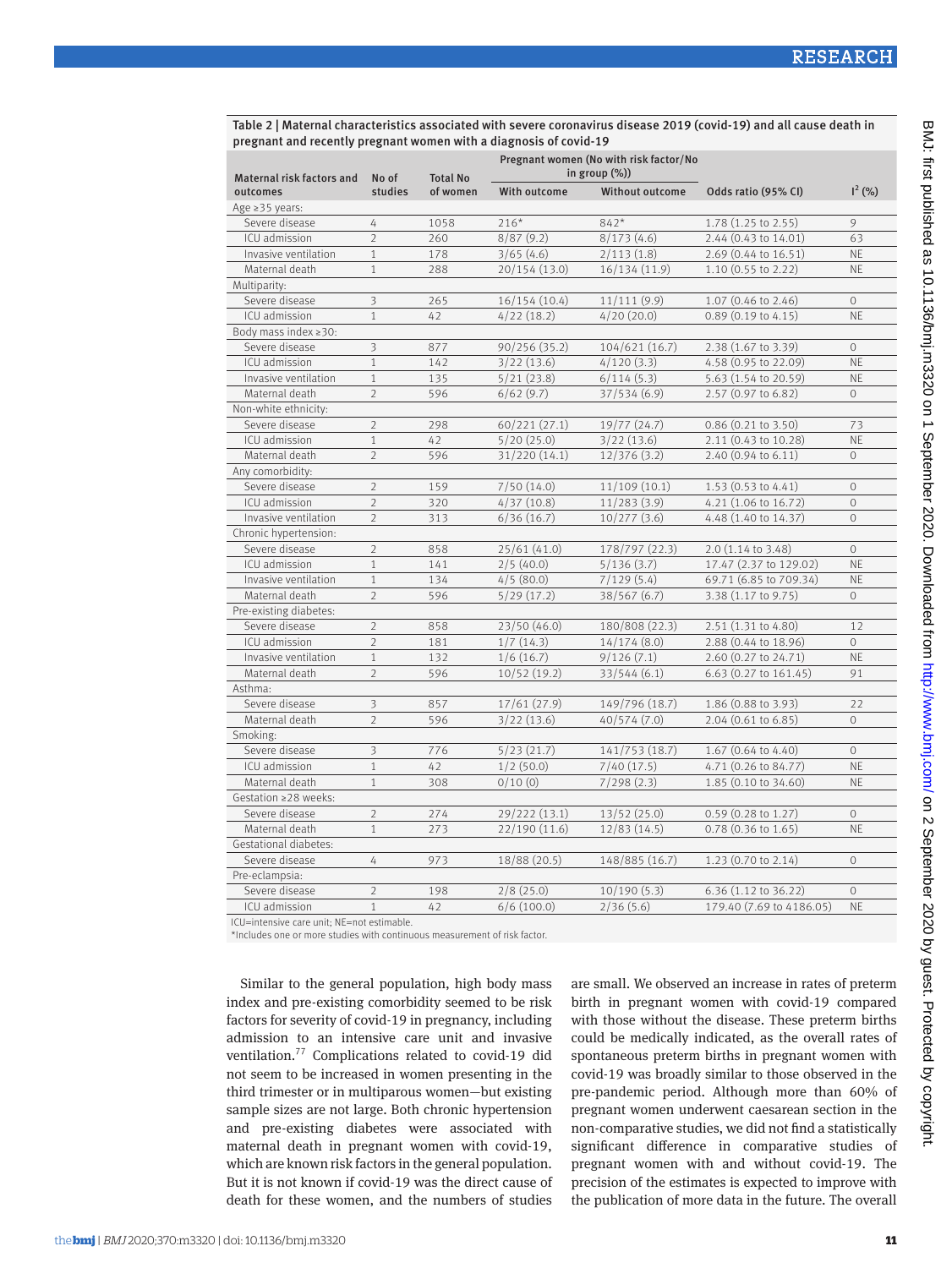| Maternal risk factors and | No of                   | <b>Total No</b> | Pregnant women (No with risk factor/No<br>in group (%)) |                        |                          |                |
|---------------------------|-------------------------|-----------------|---------------------------------------------------------|------------------------|--------------------------|----------------|
| outcomes                  | studies                 | of women        | With outcome                                            | <b>Without outcome</b> | Odds ratio (95% CI)      | $I^2$ (%)      |
| Age $\geq$ 35 years:      |                         |                 |                                                         |                        |                          |                |
| Severe disease            | 4                       | 1058            | $216*$                                                  | $842*$                 | 1.78 (1.25 to 2.55)      | 9              |
| ICU admission             | $\overline{2}$          | 260             | 8/87(9.2)                                               | 8/173(4.6)             | 2.44 (0.43 to 14.01)     | 63             |
| Invasive ventilation      | $\mathbf{1}$            | 178             | 3/65(4.6)                                               | 2/113(1.8)             | 2.69 (0.44 to 16.51)     | <b>NE</b>      |
| Maternal death            | $\mathbf{1}$            | 288             | 20/154(13.0)                                            | 16/134(11.9)           | 1.10 (0.55 to 2.22)      | <b>NE</b>      |
| Multiparity:              |                         |                 |                                                         |                        |                          |                |
| Severe disease            | 3                       | 265             | 16/154(10.4)                                            | 11/111(9.9)            | 1.07 (0.46 to 2.46)      | $\circ$        |
| ICU admission             | $\mathbf{1}$            | 42              | 4/22(18.2)                                              | 4/20(20.0)             | 0.89 (0.19 to 4.15)      | <b>NE</b>      |
| Body mass index ≥30:      |                         |                 |                                                         |                        |                          |                |
| Severe disease            | 3                       | 877             | 90/256 (35.2)                                           | 104/621(16.7)          | 2.38 (1.67 to 3.39)      | $\circ$        |
| ICU admission             | $\mathbf{1}$            | 142             | 3/22(13.6)                                              | 4/120(3.3)             | 4.58 (0.95 to 22.09)     | <b>NE</b>      |
| Invasive ventilation      | $\mathbf{1}$            | 135             | 5/21(23.8)                                              | 6/114(5.3)             | 5.63 (1.54 to 20.59)     | <b>NE</b>      |
| Maternal death            | $\overline{2}$          | 596             | 6/62(9.7)                                               | 37/534 (6.9)           | 2.57 (0.97 to 6.82)      | $\circ$        |
| Non-white ethnicity:      |                         |                 |                                                         |                        |                          |                |
| Severe disease            | $\overline{2}$          | 298             | 60/221(27.1)                                            | 19/77 (24.7)           | $0.86$ $(0.21$ to 3.50)  | 73             |
| ICU admission             | $\mathbf{1}$            | 42              | 5/20(25.0)                                              | 3/22(13.6)             | 2.11 (0.43 to 10.28)     | <b>NE</b>      |
| Maternal death            | $\overline{2}$          | 596             | 31/220 (14.1)                                           | 12/376(3.2)            | 2.40 (0.94 to 6.11)      | $\circ$        |
| Any comorbidity:          |                         |                 |                                                         |                        |                          |                |
| Severe disease            | $\mathbf{2}$            | 159             | 7/50(14.0)                                              | 11/109(10.1)           | 1.53 (0.53 to 4.41)      | $\Omega$       |
| ICU admission             | $\overline{2}$          | 320             | 4/37(10.8)                                              | 11/283(3.9)            | 4.21 (1.06 to 16.72)     | $\overline{0}$ |
| Invasive ventilation      | $\overline{2}$          | 313             | 6/36(16.7)                                              | 10/277(3.6)            | 4.48 (1.40 to 14.37)     | $\overline{0}$ |
| Chronic hypertension:     |                         |                 |                                                         |                        |                          |                |
| Severe disease            | $\overline{2}$          | 858             | 25/61(41.0)                                             | 178/797 (22.3)         | 2.0 (1.14 to 3.48)       | $\overline{O}$ |
| ICU admission             | $\mathbf{1}$            | 141             | 2/5(40.0)                                               | 5/136(3.7)             | 17.47 (2.37 to 129.02)   | <b>NE</b>      |
| Invasive ventilation      | $\mathbf{1}$            | 134             | 4/5(80.0)                                               | 7/129(5.4)             | 69.71 (6.85 to 709.34)   | <b>NE</b>      |
| Maternal death            | $\overline{2}$          | 596             | 5/29(17.2)                                              | 38/567 (6.7)           | 3.38 (1.17 to 9.75)      | 0              |
| Pre-existing diabetes:    |                         |                 |                                                         |                        |                          |                |
| Severe disease            | $\overline{2}$          | 858             | 23/50 (46.0)                                            | 180/808 (22.3)         | 2.51 (1.31 to 4.80)      | 12             |
| ICU admission             | $\overline{2}$          | 181             | 1/7(14.3)                                               | 14/174(8.0)            | 2.88 (0.44 to 18.96)     | $\circ$        |
| Invasive ventilation      | $\mathbf{1}$            | 132             | 1/6(16.7)                                               | 9/126(7.1)             | 2.60 (0.27 to 24.71)     | <b>NE</b>      |
| Maternal death            | $\overline{2}$          | 596             | 10/52(19.2)                                             | 33/544 (6.1)           | 6.63 (0.27 to 161.45)    | 91             |
| Asthma:                   |                         |                 |                                                         |                        |                          |                |
| Severe disease            | $\overline{\mathbf{3}}$ | 857             | 17/61(27.9)                                             | 149/796 (18.7)         | 1.86 (0.88 to 3.93)      | 22             |
| Maternal death            | $\overline{2}$          | 596             | 3/22(13.6)                                              | 40/574(7.0)            | 2.04 (0.61 to 6.85)      | $\circ$        |
| Smoking:                  |                         |                 |                                                         |                        |                          |                |
| Severe disease            | $\overline{\mathbf{3}}$ | 776             | 5/23(21.7)                                              | 141/753 (18.7)         | 1.67 (0.64 to 4.40)      | $\circ$        |
| ICU admission             | $\mathbf{1}$            | 42              | 1/2(50.0)                                               | 7/40(17.5)             | 4.71 (0.26 to 84.77)     | <b>NE</b>      |
| Maternal death            | $\mathbf{1}$            | 308             | 0/10(0)                                                 | 7/298(2.3)             | 1.85 (0.10 to 34.60)     | <b>NE</b>      |
| Gestation ≥28 weeks:      |                         |                 |                                                         |                        |                          |                |
| Severe disease            | $\overline{2}$          | 274             | 29/222 (13.1)                                           | 13/52(25.0)            | 0.59 (0.28 to 1.27)      | $\circ$        |
| Maternal death            | $\mathbf{1}$            | 273             | 22/190(11.6)                                            | 12/83(14.5)            | $0.78$ (0.36 to 1.65)    | <b>NE</b>      |
| Gestational diabetes:     |                         |                 |                                                         |                        |                          |                |
| Severe disease            | 4                       | 973             | 18/88 (20.5)                                            | 148/885 (16.7)         | 1.23 (0.70 to 2.14)      | $\circ$        |
| Pre-eclampsia:            |                         |                 |                                                         |                        |                          |                |
| Severe disease            | $\overline{2}$          | 198             | 2/8(25.0)                                               | 10/190(5.3)            | 6.36 (1.12 to 36.22)     | $\mathcal O$   |
| ICU admission             | $\mathbf{1}$            | 42              | $6/6$ (100.0)                                           | 2/36(5.6)              | 179.40 (7.69 to 4186.05) | <b>NE</b>      |

Table 2 | Maternal characteristics associated with severe coronavirus disease 2019 (covid-19) and all cause death in pregnant and recently pregnant women with a diagnosis of covid-19

ICU=intensive care unit; NE=not estimable.

\*Includes one or more studies with continuous measurement of risk factor.

Similar to the general population, high body mass index and pre-existing comorbidity seemed to be risk factors for severity of covid-19 in pregnancy, including admission to an intensive care unit and invasive ventilation.77 Complications related to covid-19 did not seem to be increased in women presenting in the third trimester or in multiparous women—but existing sample sizes are not large. Both chronic hypertension and pre-existing diabetes were associated with maternal death in pregnant women with covid-19, which are known risk factors in the general population. But it is not known if covid-19 was the direct cause of death for these women, and the numbers of studies are small. We observed an increase in rates of preterm birth in pregnant women with covid-19 compared with those without the disease. These preterm births could be medically indicated, as the overall rates of spontaneous preterm births in pregnant women with covid-19 was broadly similar to those observed in the pre-pandemic period. Although more than 60% of pregnant women underwent caesarean section in the non-comparative studies, we did not find a statistically significant difference in comparative studies of pregnant women with and without covid-19. The precision of the estimates is expected to improve with the publication of more data in the future. The overall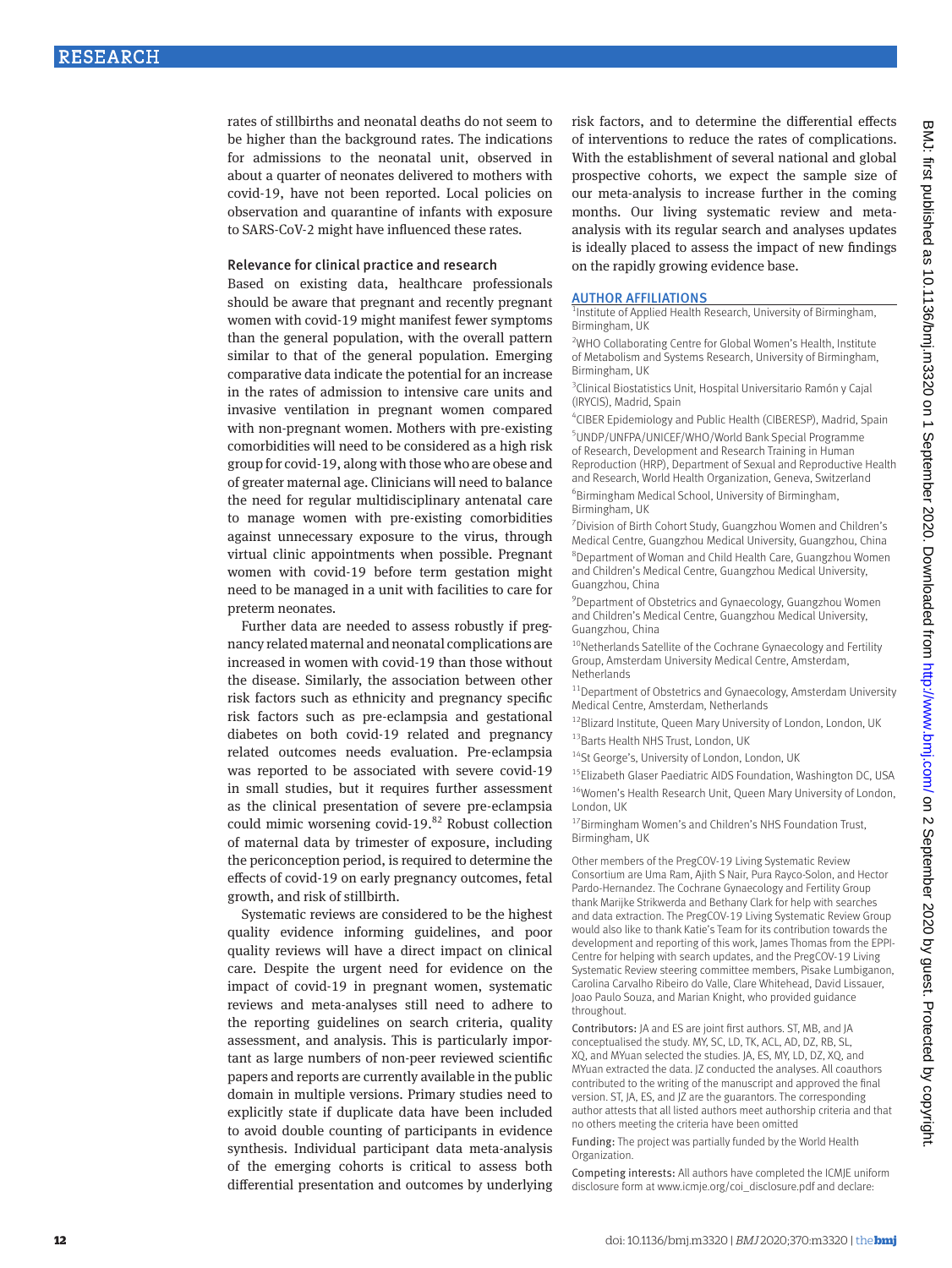rates of stillbirths and neonatal deaths do not seem to be higher than the background rates. The indications for admissions to the neonatal unit, observed in about a quarter of neonates delivered to mothers with covid-19, have not been reported. Local policies on observation and quarantine of infants with exposure to SARS-CoV-2 might have influenced these rates.

#### Relevance for clinical practice and research

Based on existing data, healthcare professionals should be aware that pregnant and recently pregnant women with covid-19 might manifest fewer symptoms than the general population, with the overall pattern similar to that of the general population. Emerging comparative data indicate the potential for an increase in the rates of admission to intensive care units and invasive ventilation in pregnant women compared with non-pregnant women. Mothers with pre-existing comorbidities will need to be considered as a high risk group for covid-19, along with those who are obese and of greater maternal age. Clinicians will need to balance the need for regular multidisciplinary antenatal care to manage women with pre-existing comorbidities against unnecessary exposure to the virus, through virtual clinic appointments when possible. Pregnant women with covid-19 before term gestation might need to be managed in a unit with facilities to care for preterm neonates.

Further data are needed to assess robustly if pregnancy related maternal and neonatal complications are increased in women with covid-19 than those without the disease. Similarly, the association between other risk factors such as ethnicity and pregnancy specific risk factors such as pre-eclampsia and gestational diabetes on both covid-19 related and pregnancy related outcomes needs evaluation. Pre-eclampsia was reported to be associated with severe covid-19 in small studies, but it requires further assessment as the clinical presentation of severe pre-eclampsia could mimic worsening covid-19. $82$  Robust collection of maternal data by trimester of exposure, including the periconception period, is required to determine the effects of covid-19 on early pregnancy outcomes, fetal growth, and risk of stillbirth.

Systematic reviews are considered to be the highest quality evidence informing guidelines, and poor quality reviews will have a direct impact on clinical care. Despite the urgent need for evidence on the impact of covid-19 in pregnant women, systematic reviews and meta-analyses still need to adhere to the reporting guidelines on search criteria, quality assessment, and analysis. This is particularly important as large numbers of non-peer reviewed scientific papers and reports are currently available in the public domain in multiple versions. Primary studies need to explicitly state if duplicate data have been included to avoid double counting of participants in evidence synthesis. Individual participant data meta-analysis of the emerging cohorts is critical to assess both differential presentation and outcomes by underlying risk factors, and to determine the differential effects of interventions to reduce the rates of complications. With the establishment of several national and global prospective cohorts, we expect the sample size of our meta-analysis to increase further in the coming months. Our living systematic review and metaanalysis with its regular search and analyses updates is ideally placed to assess the impact of new findings on the rapidly growing evidence base.

#### **AUTHOR AFFILIATIONS**

Institute of Applied Health Research, University of Birmingham, Birmingham, UK

<sup>2</sup>WHO Collaborating Centre for Global Women's Health, Institute of Metabolism and Systems Research, University of Birmingham, Birmingham, UK

<sup>3</sup> Clinical Biostatistics Unit, Hospital Universitario Ramón y Cajal (IRYCIS), Madrid, Spain

4 CIBER Epidemiology and Public Health (CIBERESP), Madrid, Spain 5 UNDP/UNFPA/UNICEF/WHO/World Bank Special Programme of Research, Development and Research Training in Human Reproduction (HRP), Department of Sexual and Reproductive Health and Research, World Health Organization, Geneva, Switzerland 6 Birmingham Medical School, University of Birmingham, Birmingham, UK

7 Division of Birth Cohort Study, Guangzhou Women and Children's Medical Centre, Guangzhou Medical University, Guangzhou, China 8 Department of Woman and Child Health Care, Guangzhou Women and Children's Medical Centre, Guangzhou Medical University, Guangzhou, China

<sup>9</sup> Department of Obstetrics and Gynaecology, Guangzhou Women and Children's Medical Centre, Guangzhou Medical University, Guangzhou, China

<sup>10</sup>Netherlands Satellite of the Cochrane Gynaecology and Fertility Group, Amsterdam University Medical Centre, Amsterdam, Netherlands

<sup>11</sup>Department of Obstetrics and Gynaecology, Amsterdam University Medical Centre, Amsterdam, Netherlands

 $12B$ lizard Institute, Queen Mary University of London, London, UK 13 Barts Health NHS Trust, London, UK

14St George's, University of London, London, UK

<sup>15</sup>Elizabeth Glaser Paediatric AIDS Foundation, Washington DC, USA

<sup>16</sup>Women's Health Research Unit, Queen Mary University of London, London, UK

 $17B$ irmingham Women's and Children's NHS Foundation Trust, Birmingham, UK

Other members of the PregCOV-19 Living Systematic Review Consortium are Uma Ram, Ajith S Nair, Pura Rayco-Solon, and Hector Pardo-Hernandez. The Cochrane Gynaecology and Fertility Group thank Marijke Strikwerda and Bethany Clark for help with searches and data extraction. The PregCOV-19 Living Systematic Review Group would also like to thank Katie's Team for its contribution towards the development and reporting of this work, James Thomas from the EPPI-Centre for helping with search updates, and the PregCOV-19 Living Systematic Review steering committee members, Pisake Lumbiganon, Carolina Carvalho Ribeiro do Valle, Clare Whitehead, David Lissauer, Joao Paulo Souza, and Marian Knight, who provided guidance throughout.

Contributors: JA and ES are joint first authors. ST, MB, and JA conceptualised the study. MY, SC, LD, TK, ACL, AD, DZ, RB, SL, XQ, and MYuan selected the studies. JA, ES, MY, LD, DZ, XQ, and MYuan extracted the data. JZ conducted the analyses. All coauthors contributed to the writing of the manuscript and approved the final version. ST, JA, ES, and JZ are the guarantors. The corresponding author attests that all listed authors meet authorship criteria and that no others meeting the criteria have been omitted

Funding: The project was partially funded by the World Health Organization.

Competing interests: All authors have completed the ICMJE uniform disclosure form at [www.icmje.org/coi\\_disclosure.pdf](http://www.icmje.org/coi_disclosure.pdf) and declare: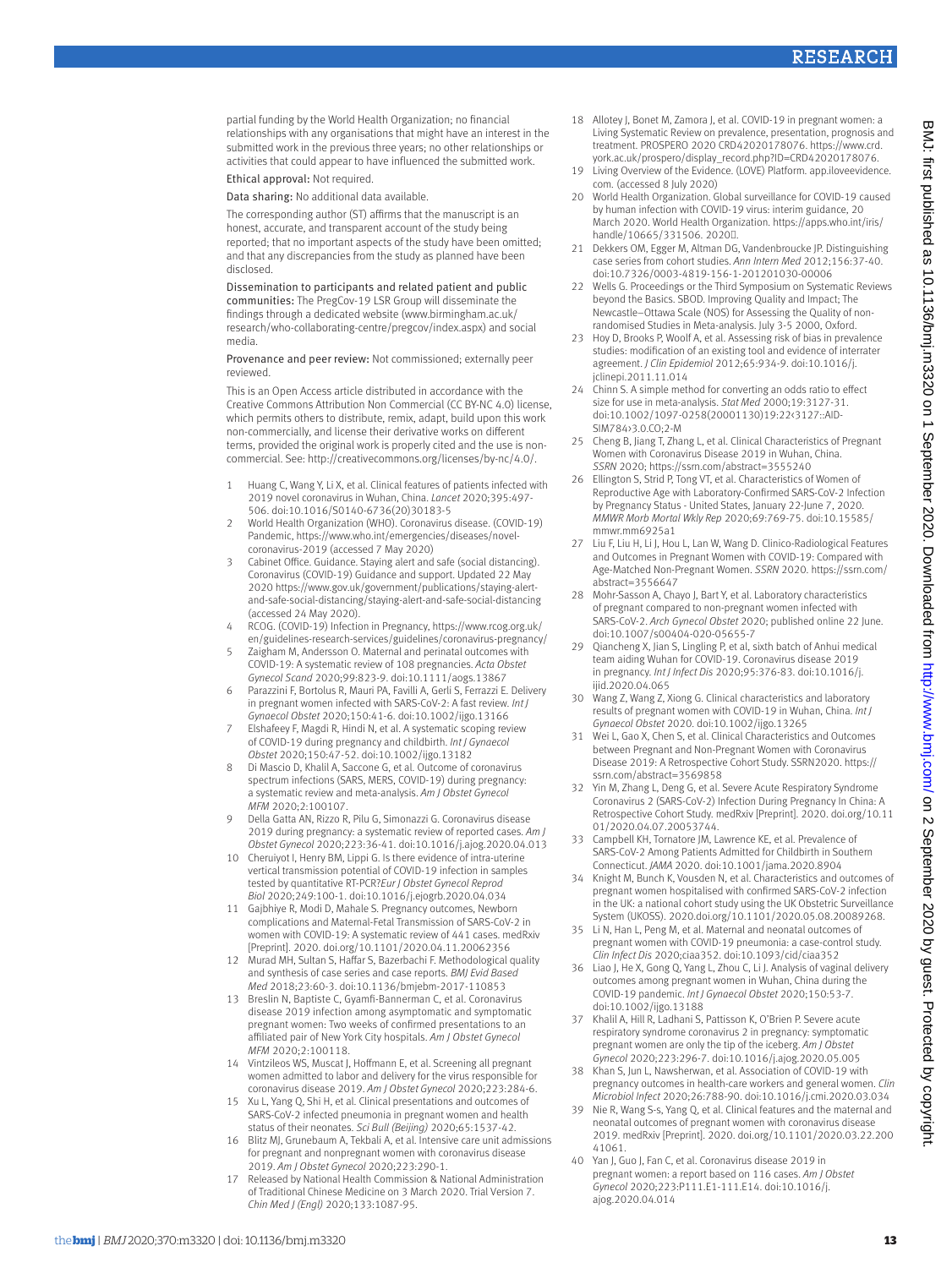partial funding by the World Health Organization; no financial relationships with any organisations that might have an interest in the submitted work in the previous three years; no other relationships or activities that could appear to have influenced the submitted work.

Ethical approval: Not required.

Data sharing: No additional data available.

The corresponding author (ST) affirms that the manuscript is an honest, accurate, and transparent account of the study being reported; that no important aspects of the study have been omitted; and that any discrepancies from the study as planned have been disclosed.

Dissemination to participants and related patient and public communities: The PregCov-19 LSR Group will disseminate the findings through a dedicated website [\(www.birmingham.ac.uk/](http://www.birmingham.ac.uk/research/who-collaborating-centre/pregcov/index.aspx) [research/who-collaborating-centre/pregcov/index.aspx](http://www.birmingham.ac.uk/research/who-collaborating-centre/pregcov/index.aspx)) and social media.

Provenance and peer review: Not commissioned; externally peer reviewed.

This is an Open Access article distributed in accordance with the Creative Commons Attribution Non Commercial (CC BY-NC 4.0) license, which permits others to distribute, remix, adapt, build upon this work non-commercially, and license their derivative works on different terms, provided the original work is properly cited and the use is noncommercial. See: [http://creativecommons.org/licenses/by-nc/4.0/.](http://creativecommons.org/licenses/by-nc/4.0/)

- 1 Huang C, Wang Y, Li X, et al. Clinical features of patients infected with 2019 novel coronavirus in Wuhan, China. *Lancet* 2020;395:497- 506. doi:10.1016/S0140-6736(20)30183-5
- 2 World Health Organization (WHO). Coronavirus disease. (COVID-19) Pandemic, [https://www.who.int/emergencies/diseases/novel](https://www.who.int/emergencies/diseases/novel-coronavirus-2019)[coronavirus-2019](https://www.who.int/emergencies/diseases/novel-coronavirus-2019) (accessed 7 May 2020)
- 3 Cabinet Office. Guidance. Staying alert and safe (social distancing). Coronavirus (COVID-19) Guidance and support. Updated 22 May 2020 [https://www.gov.uk/government/publications/staying-alert](https://www.gov.uk/government/publications/staying-alert-and-safe-social-distancing/staying-alert-and-safe-social-distancing)[and-safe-social-distancing/staying-alert-and-safe-social-distancing](https://www.gov.uk/government/publications/staying-alert-and-safe-social-distancing/staying-alert-and-safe-social-distancing)  (accessed 24 May 2020).
- 4 RCOG. (COVID-19) Infection in Pregnancy, [https://www.rcog.org.uk/](https://www.rcog.org.uk/en/guidelines-research-services/guidelines/coronavirus-pregnancy/) [en/guidelines-research-services/guidelines/coronavirus-pregnancy/](https://www.rcog.org.uk/en/guidelines-research-services/guidelines/coronavirus-pregnancy/)
- 5 Zaigham M, Andersson O. Maternal and perinatal outcomes with COVID-19: A systematic review of 108 pregnancies. *Acta Obstet Gynecol Scand* 2020;99:823-9. doi:10.1111/aogs.13867
- 6 Parazzini F, Bortolus R, Mauri PA, Favilli A, Gerli S, Ferrazzi E. Delivery in pregnant women infected with SARS-CoV-2: A fast review. *Int J Gynaecol Obstet* 2020;150:41-6. doi:10.1002/ijgo.13166
- 7 Elshafeey F, Magdi R, Hindi N, et al. A systematic scoping review of COVID-19 during pregnancy and childbirth. *Int J Gynaecol Obstet* 2020;150:47-52. doi:10.1002/ijgo.13182
- 8 Di Mascio D, Khalil A, Saccone G, et al. Outcome of coronavirus spectrum infections (SARS, MERS, COVID-19) during pregnancy: a systematic review and meta-analysis. *Am J Obstet Gynecol MFM* 2020;2:100107.
- 9 Della Gatta AN, Rizzo R, Pilu G, Simonazzi G. Coronavirus disease 2019 during pregnancy: a systematic review of reported cases. *Am J Obstet Gynecol* 2020;223:36-41. doi:10.1016/j.ajog.2020.04.013
- 10 Cheruiyot I, Henry BM, Lippi G. Is there evidence of intra-uterine vertical transmission potential of COVID-19 infection in samples tested by quantitative RT-PCR?*Eur J Obstet Gynecol Reprod Biol* 2020;249:100-1. doi:10.1016/j.ejogrb.2020.04.034
- 11 Gajbhiye R, Modi D, Mahale S. Pregnancy outcomes, Newborn complications and Maternal-Fetal Transmission of SARS-CoV-2 in women with COVID-19: A systematic review of 441 cases. medRxiv [Preprint]. 2020. doi.org/10.1101/2020.04.11.20062356
- 12 Murad MH, Sultan S, Haffar S, Bazerbachi F. Methodological quality and synthesis of case series and case reports. *BMJ Evid Based Med* 2018;23:60-3. doi:10.1136/bmjebm-2017-110853
- 13 Breslin N, Baptiste C, Gyamfi-Bannerman C, et al. Coronavirus disease 2019 infection among asymptomatic and symptomatic pregnant women: Two weeks of confirmed presentations to an affiliated pair of New York City hospitals. *Am J Obstet Gynecol MFM* 2020;2:100118.
- 14 Vintzileos WS, Muscat J, Hoffmann E, et al. Screening all pregnant women admitted to labor and delivery for the virus responsible for coronavirus disease 2019. *Am J Obstet Gynecol* 2020;223:284-6.
- 15 Xu L, Yang Q, Shi H, et al. Clinical presentations and outcomes of SARS-CoV-2 infected pneumonia in pregnant women and health status of their neonates. *Sci Bull (Beijing)* 2020;65:1537-42.
- Blitz MJ, Grunebaum A, Tekbali A, et al. Intensive care unit admissions for pregnant and nonpregnant women with coronavirus disease 2019. *Am J Obstet Gynecol* 2020;223:290-1.
- Released by National Health Commission & National Administration of Traditional Chinese Medicine on 3 March 2020. Trial Version 7. *Chin Med J (Engl)* 2020;133:1087-95.
- 18 Allotey J, Bonet M, Zamora J, et al. COVID-19 in pregnant women: a Living Systematic Review on prevalence, presentation, prognosis and treatment. PROSPERO 2020 CRD42020178076. [https://www.crd.](https://www.crd.york.ac.uk/prospero/display_record.php?ID=CRD42020178076) [york.ac.uk/prospero/display\\_record.php?ID=CRD42020178076.](https://www.crd.york.ac.uk/prospero/display_record.php?ID=CRD42020178076)
- 19 Living Overview of the Evidence. (LOVE) Platform. [app.iloveevidence.](http://app.iloveevidence.com) [com](http://app.iloveevidence.com)*.* (accessed 8 July 2020)
- 20 World Health Organization. Global surveillance for COVID-19 caused by human infection with COVID-19 virus: interim guidance, 20 March 2020. World Health Organization. [https://apps.who.int/iris/](https://apps.who.int/iris/handle/10665/331506) [handle/10665/331506.](https://apps.who.int/iris/handle/10665/331506) 2020.
- 21 Dekkers OM, Egger M, Altman DG, Vandenbroucke JP. Distinguishing case series from cohort studies. *Ann Intern Med* 2012;156:37-40. doi:10.7326/0003-4819-156-1-201201030-00006
- 22 Wells G. Proceedings or the Third Symposium on Systematic Reviews beyond the Basics. SBOD. Improving Quality and Impact; The Newcastle–Ottawa Scale (NOS) for Assessing the Quality of nonrandomised Studies in Meta-analysis. July 3-5 2000, Oxford.
- 23 Hoy D, Brooks P, Woolf A, et al. Assessing risk of bias in prevalence studies: modification of an existing tool and evidence of interrater agreement. *J Clin Epidemiol* 2012;65:934-9. doi:10.1016/j. jclinepi.2011.11.014
- 24 Chinn S. A simple method for converting an odds ratio to effect size for use in meta-analysis. *Stat Med* 2000;19:3127-31. doi:10.1002/1097-0258(20001130)19:22<3127::AID-SIM784>3.0.CO;2-M
- 25 Cheng B, Jiang T, Zhang L, et al. Clinical Characteristics of Pregnant Women with Coronavirus Disease 2019 in Wuhan, China. *SSRN* 2020;<https://ssrn.com/abstract=3555240>
- 26 Ellington S, Strid P, Tong VT, et al. Characteristics of Women of Reproductive Age with Laboratory-Confirmed SARS-CoV-2 Infection by Pregnancy Status - United States, January 22-June 7, 2020. *MMWR Morb Mortal Wkly Rep* 2020;69:769-75. doi:10.15585/ mmwr.mm6925a1
- 27 Liu F, Liu H, Li J, Hou L, Lan W, Wang D. Clinico-Radiological Features and Outcomes in Pregnant Women with COVID-19: Compared with Age-Matched Non-Pregnant Women. *SSRN* 2020. [https://ssrn.com/](https://ssrn.com/abstract=3556647) [abstract=3556647](https://ssrn.com/abstract=3556647)
- 28 Mohr-Sasson A, Chayo J, Bart Y, et al. Laboratory characteristics of pregnant compared to non-pregnant women infected with SARS-CoV-2. *Arch Gynecol Obstet* 2020; published online 22 June. doi:10.1007/s00404-020-05655-7
- 29 Qiancheng X, Jian S, Lingling P, et al, sixth batch of Anhui medical team aiding Wuhan for COVID-19. Coronavirus disease 2019 in pregnancy. *Int J Infect Dis* 2020;95:376-83. doi:10.1016/j. ijid.2020.04.065
- 30 Wang Z, Wang Z, Xiong G. Clinical characteristics and laboratory results of pregnant women with COVID-19 in Wuhan, China. *Int J Gynaecol Obstet* 2020. doi:10.1002/ijgo.13265
- 31 Wei L, Gao X, Chen S, et al. Clinical Characteristics and Outcomes between Pregnant and Non-Pregnant Women with Coronavirus Disease 2019: A Retrospective Cohort Study. SSRN2020. [https://](https://ssrn.com/abstract=3569858) [ssrn.com/abstract=3569858](https://ssrn.com/abstract=3569858)
- 32 Yin M, Zhang L, Deng G, et al. Severe Acute Respiratory Syndrome Coronavirus 2 (SARS-CoV-2) Infection During Pregnancy In China: A Retrospective Cohort Study. medRxiv [Preprint]. 2020. doi.org/10.11 01/2020.04.07.20053744.
- 33 Campbell KH, Tornatore JM, Lawrence KE, et al. Prevalence of SARS-CoV-2 Among Patients Admitted for Childbirth in Southern Connecticut. *JAMA* 2020. doi:10.1001/jama.2020.8904
- 34 Knight M, Bunch K, Vousden N, et al. Characteristics and outcomes of pregnant women hospitalised with confirmed SARS-CoV-2 infection in the UK: a national cohort study using the UK Obstetric Surveillance System (UKOSS). 2020.doi.org/10.1101/2020.05.08.20089268.
- 35 Li N, Han L, Peng M, et al. Maternal and neonatal outcomes of pregnant women with COVID-19 pneumonia: a case-control study. *Clin Infect Dis* 2020;ciaa352. doi:10.1093/cid/ciaa352
- 36 Liao J, He X, Gong Q, Yang L, Zhou C, Li J. Analysis of vaginal delivery outcomes among pregnant women in Wuhan, China during the COVID-19 pandemic. *Int J Gynaecol Obstet* 2020;150:53-7. doi:10.1002/ijgo.13188
- 37 Khalil A, Hill R, Ladhani S, Pattisson K, O'Brien P. Severe acute respiratory syndrome coronavirus 2 in pregnancy: symptomatic pregnant women are only the tip of the iceberg. *Am J Obstet Gynecol* 2020;223:296-7. doi:10.1016/j.ajog.2020.05.005
- 38 Khan S, Jun L, Nawsherwan, et al. Association of COVID-19 with pregnancy outcomes in health-care workers and general women. *Clin Microbiol Infect* 2020;26:788-90. doi:10.1016/j.cmi.2020.03.034
- 39 Nie R, Wang S-s, Yang Q, et al. Clinical features and the maternal and neonatal outcomes of pregnant women with coronavirus disease 2019. medRxiv [Preprint]. 2020. doi.org/10.1101/2020.03.22.200 41061.
- 40 Yan J, Guo J, Fan C, et al. Coronavirus disease 2019 in pregnant women: a report based on 116 cases. *Am J Obstet Gynecol* 2020;223:P111.E1-111.E14. doi:10.1016/j. ajog.2020.04.014